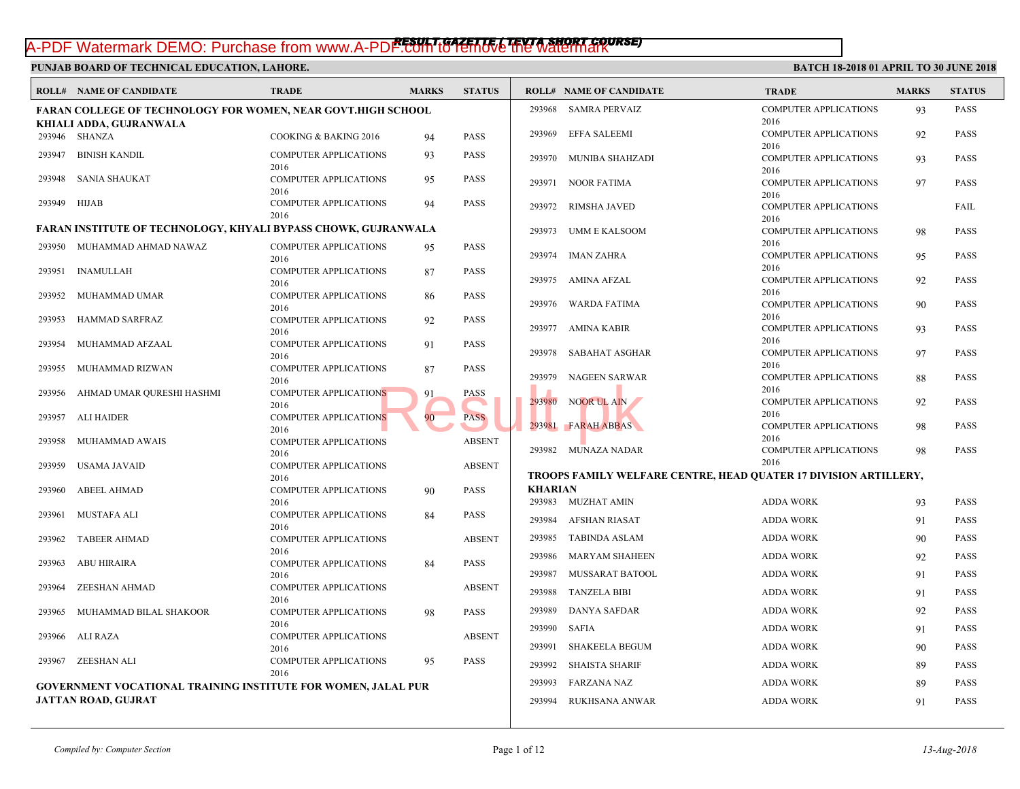# *RESULT GAZETTE ( TEVTA SHORT COURSE)* A-PDF Watermark DEMO: Purchase from www.A-PDF.com to remove the watermark

|        | <b>ROLL# NAME OF CANDIDATE</b>                                      | <b>TRADE</b>                         | <b>MARKS</b> | <b>STATUS</b>        |                | <b>ROLL# NAME OF CANDIDATE</b>            | <b>TRAL</b>         |
|--------|---------------------------------------------------------------------|--------------------------------------|--------------|----------------------|----------------|-------------------------------------------|---------------------|
|        | <b>FARAN COLLEGE OF TECHNOLOGY FOR WOMEN, NEAR GOVT.HIGH SCHOOL</b> |                                      |              |                      |                | 293968 SAMRA PERVAIZ                      | <b>COMP</b>         |
|        | KHIALI ADDA, GUJRANWALA                                             |                                      |              |                      |                |                                           | 2016                |
|        | 293946 SHANZA                                                       | COOKING & BAKING 2016                | 94           | <b>PASS</b>          | 293969         | <b>EFFA SALEEMI</b>                       | <b>COMP</b>         |
|        |                                                                     |                                      |              |                      |                |                                           | 2016                |
| 293947 | <b>BINISH KANDIL</b>                                                | <b>COMPUTER APPLICATIONS</b>         | 93           | PASS                 |                | 293970 MUNIBA SHAHZADI                    | <b>COMP</b>         |
| 293948 | <b>SANIA SHAUKAT</b>                                                | 2016                                 |              |                      |                |                                           | 2016                |
|        |                                                                     | <b>COMPUTER APPLICATIONS</b><br>2016 | 95           | PASS                 |                | 293971 NOOR FATIMA                        | <b>COMP</b>         |
| 293949 | HIJAB                                                               | <b>COMPUTER APPLICATIONS</b>         | 94           | PASS                 |                |                                           | 2016                |
|        |                                                                     | 2016                                 |              |                      | 293972         | <b>RIMSHA JAVED</b>                       | <b>COMP</b>         |
|        | FARAN INSTITUTE OF TECHNOLOGY, KHYALI BYPASS CHOWK, GUJRANWALA      |                                      | 293973       | <b>UMM E KALSOOM</b> | 2016<br>COMP   |                                           |                     |
|        |                                                                     |                                      |              |                      | 2016           |                                           |                     |
| 293950 | MUHAMMAD AHMAD NAWAZ                                                | <b>COMPUTER APPLICATIONS</b>         | 95           | <b>PASS</b>          | 293974         | <b>IMAN ZAHRA</b>                         | <b>COMP</b>         |
| 293951 | <b>INAMULLAH</b>                                                    | 2016                                 |              | <b>PASS</b>          |                |                                           | 2016                |
|        |                                                                     | COMPUTER APPLICATIONS<br>2016        | 87           |                      |                | 293975 AMINA AFZAL                        | <b>COMP</b>         |
| 293952 | MUHAMMAD UMAR                                                       | <b>COMPUTER APPLICATIONS</b>         | 86           | <b>PASS</b>          |                |                                           | 2016                |
|        |                                                                     | 2016                                 |              |                      | 293976         | WARDA FATIMA                              | <b>COMP</b>         |
| 293953 | HAMMAD SARFRAZ                                                      | COMPUTER APPLICATIONS                | 92           | <b>PASS</b>          |                |                                           | 2016                |
|        |                                                                     | 2016                                 |              |                      |                | 293977 AMINA KABIR                        | <b>COMP</b>         |
| 293954 | MUHAMMAD AFZAAL                                                     | <b>COMPUTER APPLICATIONS</b>         | 91           | <b>PASS</b>          |                |                                           | 2016                |
|        |                                                                     | 2016                                 |              |                      | 293978         | SABAHAT ASGHAR                            | <b>COMP</b>         |
| 293955 | MUHAMMAD RIZWAN                                                     | <b>COMPUTER APPLICATIONS</b>         | 87           | <b>PASS</b>          |                |                                           | 2016                |
|        |                                                                     | 2016                                 |              |                      | 293979         | NAGEEN SARWAR                             | <b>COMP</b><br>2016 |
| 293956 | AHMAD UMAR QURESHI HASHMI                                           | <b>COMPUTER APPLICATIONS</b>         | 91           | <b>PASS</b>          |                | 293980 NOOR UL AIN                        | <b>COMP</b>         |
|        |                                                                     | 2016                                 |              |                      |                |                                           | 2016                |
| 293957 | ALI HAIDER                                                          | <b>COMPUTER APPLICATIONS</b><br>2016 | 90           | <b>PASS</b>          |                | 293981 FARAH ABBAS                        | COMP                |
| 293958 | MUHAMMAD AWAIS                                                      | <b>COMPUTER APPLICATIONS</b>         |              | <b>ABSENT</b>        |                |                                           | 2016                |
|        |                                                                     | 2016                                 |              |                      |                | 293982 MUNAZA NADAR                       | <b>COMP</b>         |
| 293959 | USAMA JAVAID                                                        | <b>COMPUTER APPLICATIONS</b>         |              | <b>ABSENT</b>        |                |                                           | 2016                |
|        |                                                                     | 2016                                 |              |                      |                | TROOPS FAMILY WELFARE CENTRE, HEAD QUATE! |                     |
| 293960 | <b>ABEEL AHMAD</b>                                                  | <b>COMPUTER APPLICATIONS</b>         | 90           | <b>PASS</b>          | <b>KHARIAN</b> |                                           |                     |
|        |                                                                     | 2016                                 |              |                      |                | 293983 MUZHAT AMIN                        | <b>ADDA</b>         |
| 293961 | MUSTAFA ALI                                                         | <b>COMPUTER APPLICATIONS</b>         | 84           | <b>PASS</b>          | 293984         | AFSHAN RIASAT                             | <b>ADDA</b>         |
|        |                                                                     | 2016                                 |              |                      |                |                                           |                     |
| 293962 | <b>TABEER AHMAD</b>                                                 | <b>COMPUTER APPLICATIONS</b>         |              | <b>ABSENT</b>        | 293985         | TABINDA ASLAM                             | <b>ADDA</b>         |
|        |                                                                     | 2016                                 |              |                      | 293986         | MARYAM SHAHEEN                            | <b>ADDA</b>         |
| 293963 | <b>ABU HIRAIRA</b>                                                  | <b>COMPUTER APPLICATIONS</b><br>2016 | 84           | <b>PASS</b>          | 293987         | MUSSARAT BATOOL                           | <b>ADDA</b>         |
| 293964 | <b>ZEESHAN AHMAD</b>                                                | <b>COMPUTER APPLICATIONS</b>         |              | <b>ABSENT</b>        |                |                                           |                     |
|        |                                                                     | 2016                                 |              |                      | 293988         | <b>TANZELA BIBI</b>                       | <b>ADDA</b>         |
| 293965 | MUHAMMAD BILAL SHAKOOR                                              | <b>COMPUTER APPLICATIONS</b>         | 98           | PASS                 | 293989         | <b>DANYA SAFDAR</b>                       | <b>ADDA</b>         |
|        |                                                                     | 2016                                 |              |                      |                |                                           |                     |
| 293966 | ALI RAZA                                                            | <b>COMPUTER APPLICATIONS</b>         |              | <b>ABSENT</b>        |                | 293990 SAFIA                              | <b>ADDA</b>         |
|        |                                                                     | 2016                                 |              |                      | 293991         | <b>SHAKEELA BEGUM</b>                     | <b>ADDA</b>         |
| 293967 | ZEESHAN ALI                                                         | <b>COMPUTER APPLICATIONS</b>         | 95           | PASS                 | 293992         | <b>SHAISTA SHARIF</b>                     | <b>ADDA</b>         |
|        |                                                                     | 2016                                 |              |                      |                |                                           |                     |
|        | GOVERNMENT VOCATIONAL TRAINING INSTITUTE FOR WOMEN, JALAL PUR       |                                      | 293993       | <b>FARZANA NAZ</b>   | ADDA           |                                           |                     |
|        | <b>JATTAN ROAD, GUJRAT</b>                                          |                                      |              |                      | 293994         | RUKHSANA ANWAR                            | <b>ADDA</b>         |
|        |                                                                     |                                      |              |                      |                |                                           |                     |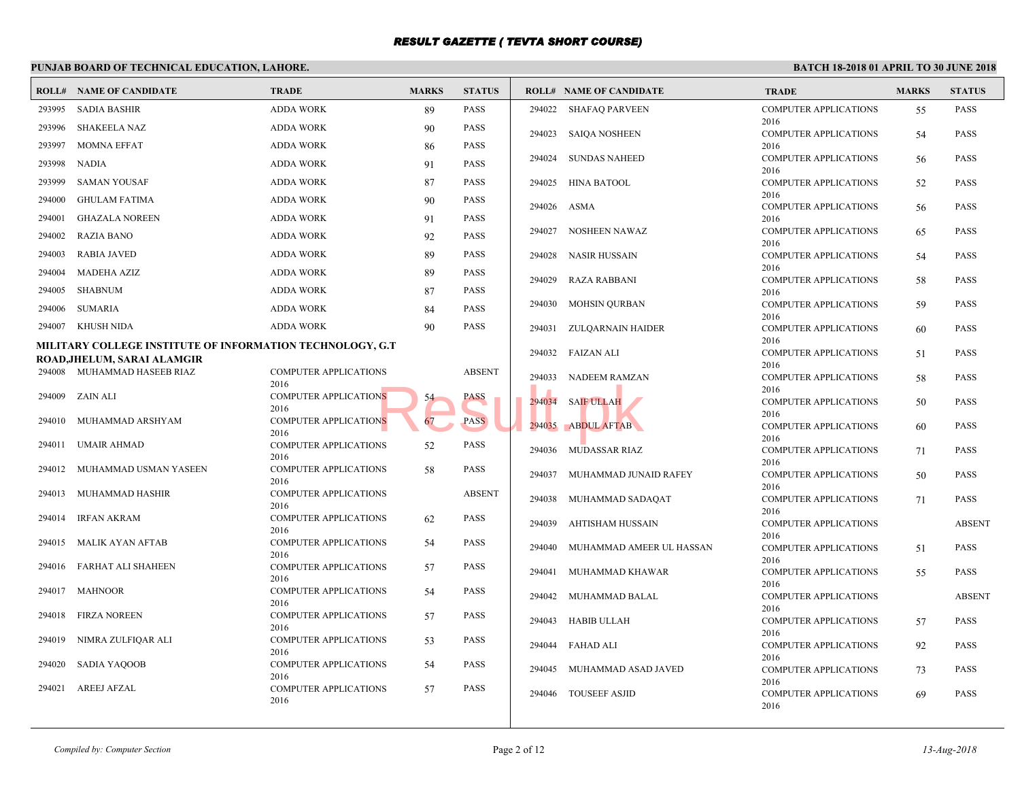|        | PUNJAB BOARD OF TECHNICAL EDUCATION, LAHORE.              |                                      |              |               |        |                                |                     |
|--------|-----------------------------------------------------------|--------------------------------------|--------------|---------------|--------|--------------------------------|---------------------|
|        | <b>ROLL# NAME OF CANDIDATE</b>                            | <b>TRADE</b>                         | <b>MARKS</b> | <b>STATUS</b> |        | <b>ROLL# NAME OF CANDIDATE</b> | <b>TRAL</b>         |
| 293995 | <b>SADIA BASHIR</b>                                       | <b>ADDA WORK</b>                     | 89           | <b>PASS</b>   |        | 294022 SHAFAQ PARVEEN          | <b>COMP</b>         |
| 293996 | <b>SHAKEELA NAZ</b>                                       | <b>ADDA WORK</b>                     | 90           | <b>PASS</b>   |        |                                | 2016<br><b>COMP</b> |
| 293997 | <b>MOMNA EFFAT</b>                                        | <b>ADDA WORK</b>                     | 86           | <b>PASS</b>   |        | 294023 SAIQA NOSHEEN           | 2016                |
| 293998 | <b>NADIA</b>                                              | <b>ADDA WORK</b>                     | 91           | <b>PASS</b>   | 294024 | <b>SUNDAS NAHEED</b>           | <b>COMP</b>         |
| 293999 | <b>SAMAN YOUSAF</b>                                       | <b>ADDA WORK</b>                     | 87           | <b>PASS</b>   | 294025 | HINA BATOOL                    | 2016                |
|        |                                                           |                                      |              |               |        |                                | <b>COMP</b><br>2016 |
| 294000 | <b>GHULAM FATIMA</b>                                      | <b>ADDA WORK</b>                     | 90           | <b>PASS</b>   | 294026 | ASMA                           | <b>COMP</b>         |
| 294001 | <b>GHAZALA NOREEN</b>                                     | <b>ADDA WORK</b>                     | 91           | <b>PASS</b>   |        |                                | 2016                |
| 294002 | <b>RAZIA BANO</b>                                         | <b>ADDA WORK</b>                     | 92           | <b>PASS</b>   |        | 294027 NOSHEEN NAWAZ           | <b>COMP</b><br>2016 |
| 294003 | RABIA JAVED                                               | <b>ADDA WORK</b>                     | 89           | <b>PASS</b>   | 294028 | NASIR HUSSAIN                  | <b>COMP</b>         |
| 294004 | <b>MADEHA AZIZ</b>                                        | <b>ADDA WORK</b>                     | 89           | <b>PASS</b>   |        |                                | 2016                |
| 294005 | <b>SHABNUM</b>                                            | <b>ADDA WORK</b>                     | 87           | <b>PASS</b>   | 294029 | RAZA RABBANI                   | <b>COMP</b><br>2016 |
| 294006 | SUMARIA                                                   | <b>ADDA WORK</b>                     | 84           | <b>PASS</b>   | 294030 | MOHSIN QURBAN                  | <b>COMP</b>         |
| 294007 | KHUSH NIDA                                                | <b>ADDA WORK</b>                     | 90           | <b>PASS</b>   |        |                                | 2016                |
|        |                                                           |                                      |              |               | 294031 | ZULQARNAIN HAIDER              | <b>COMP</b><br>2016 |
|        | MILITARY COLLEGE INSTITUTE OF INFORMATION TECHNOLOGY, G.T |                                      |              |               |        | 294032 FAIZAN ALI              | <b>COMP</b>         |
|        | ROAD,JHELUM, SARAI ALAMGIR<br>294008 MUHAMMAD HASEEB RIAZ | <b>COMPUTER APPLICATIONS</b>         |              | <b>ABSENT</b> |        |                                | 2016                |
|        |                                                           | 2016                                 |              |               | 294033 | NADEEM RAMZAN                  | <b>COMP</b><br>2016 |
| 294009 | ZAIN ALI                                                  | COMPUTER APPLICATIONS                | 54           | PASS          |        | 294034 SAIF ULLAH              | <b>COMP</b>         |
| 294010 | MUHAMMAD ARSHYAM                                          | 2016<br><b>COMPUTER APPLICATIONS</b> | 67           | <b>PASS</b>   |        |                                | 2016                |
|        |                                                           | 2016                                 |              |               | 294035 | <b>ABDUL AFTAB</b>             | <b>COMP</b><br>2016 |
| 294011 | UMAIR AHMAD                                               | <b>COMPUTER APPLICATIONS</b>         | 52           | <b>PASS</b>   |        | 294036 MUDASSAR RIAZ           | <b>COMP</b>         |
| 294012 | MUHAMMAD USMAN YASEEN                                     | 2016<br><b>COMPUTER APPLICATIONS</b> | 58           | <b>PASS</b>   |        |                                | 2016                |
|        |                                                           | 2016                                 |              |               | 294037 | MUHAMMAD JUNAID RAFEY          | <b>COMP</b><br>2016 |
| 294013 | MUHAMMAD HASHIR                                           | <b>COMPUTER APPLICATIONS</b>         |              | <b>ABSENT</b> | 294038 | MUHAMMAD SADAQAT               | <b>COMP</b>         |
| 294014 | <b>IRFAN AKRAM</b>                                        | 2016<br><b>COMPUTER APPLICATIONS</b> | 62           | <b>PASS</b>   |        |                                | 2016                |
|        |                                                           | 2016                                 |              |               | 294039 | AHTISHAM HUSSAIN               | <b>COMP</b><br>2016 |
| 294015 | MALIK AYAN AFTAB                                          | COMPUTER APPLICATIONS                | 54           | <b>PASS</b>   | 294040 | MUHAMMAD AMEER UL HASSAN       | <b>COMP</b>         |
| 294016 | FARHAT ALI SHAHEEN                                        | 2016<br>COMPUTER APPLICATIONS        | 57           | <b>PASS</b>   |        |                                | 2016                |
|        |                                                           | 2016                                 |              |               | 294041 | MUHAMMAD KHAWAR                | <b>COMP</b>         |
| 294017 | MAHNOOR                                                   | <b>COMPUTER APPLICATIONS</b>         | 54           | <b>PASS</b>   | 294042 | MUHAMMAD BALAL                 | 2016<br><b>COMP</b> |
| 294018 | <b>FIRZA NOREEN</b>                                       | 2016<br><b>COMPUTER APPLICATIONS</b> |              | <b>PASS</b>   |        |                                | 2016                |
|        |                                                           | 2016                                 | 57           |               |        | 294043 HABIB ULLAH             | <b>COMP</b>         |
| 294019 | NIMRA ZULFIQAR ALI                                        | <b>COMPUTER APPLICATIONS</b>         | 53           | <b>PASS</b>   |        | 294044 FAHAD ALI               | 2016<br><b>COMP</b> |
|        |                                                           | 2016                                 |              |               |        |                                | 2016                |
| 294020 | SADIA YAQOOB                                              | COMPUTER APPLICATIONS<br>2016        | 54           | <b>PASS</b>   | 294045 | MUHAMMAD ASAD JAVED            | <b>COMP</b>         |
| 294021 | <b>AREEJ AFZAL</b>                                        | <b>COMPUTER APPLICATIONS</b>         | 57           | <b>PASS</b>   |        | 294046 TOUSEEF ASJID           | 2016<br><b>COMP</b> |
|        |                                                           | 2016                                 |              |               |        |                                | 2016                |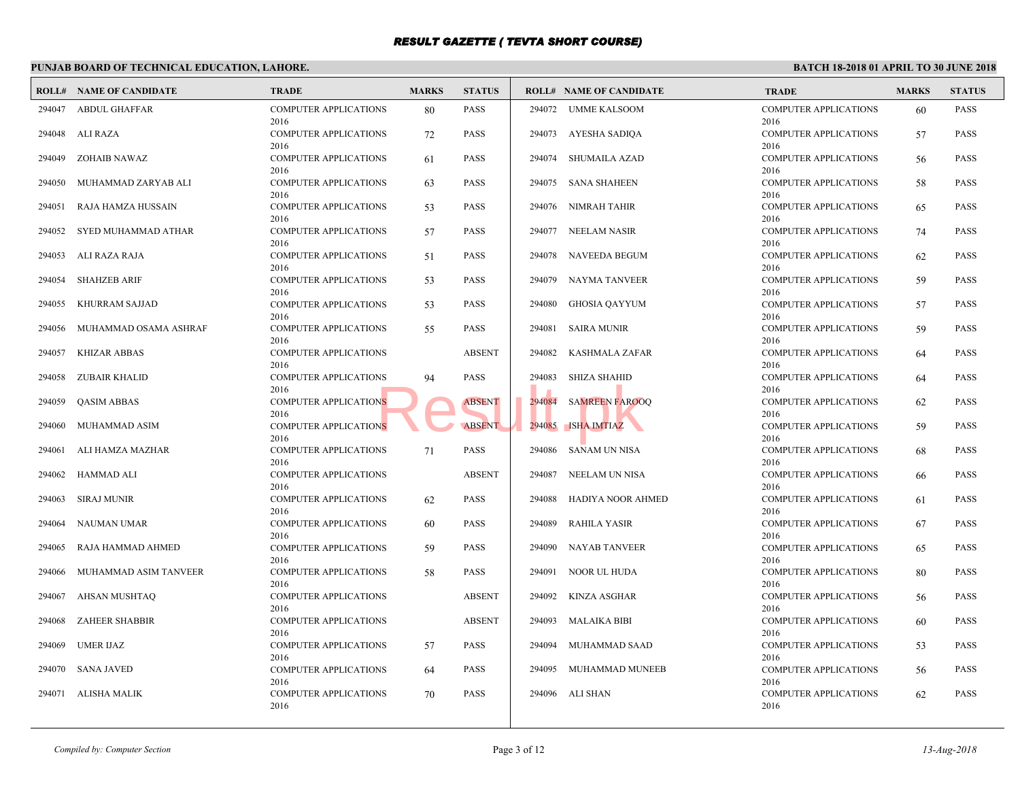| ROLL#  | <b>NAME OF CANDIDATE</b> | <b>TRADE</b>                         | <b>MARKS</b> | <b>STATUS</b> |        | <b>ROLL# NAME OF CANDIDATE</b> | <b>TRAL</b>         |
|--------|--------------------------|--------------------------------------|--------------|---------------|--------|--------------------------------|---------------------|
| 294047 | <b>ABDUL GHAFFAR</b>     | <b>COMPUTER APPLICATIONS</b><br>2016 | 80           | <b>PASS</b>   |        | 294072 UMME KALSOOM            | <b>COMP</b><br>2016 |
| 294048 | ALI RAZA                 | <b>COMPUTER APPLICATIONS</b>         | 72           | <b>PASS</b>   | 294073 | AYESHA SADIQA                  | <b>COMP</b>         |
| 294049 | ZOHAIB NAWAZ             | 2016<br><b>COMPUTER APPLICATIONS</b> | 61           | <b>PASS</b>   | 294074 | SHUMAILA AZAD                  | 2016<br><b>COMP</b> |
| 294050 | MUHAMMAD ZARYAB ALI      | 2016<br><b>COMPUTER APPLICATIONS</b> | 63           | <b>PASS</b>   |        | 294075 SANA SHAHEEN            | 2016<br><b>COMP</b> |
| 294051 | RAJA HAMZA HUSSAIN       | 2016<br><b>COMPUTER APPLICATIONS</b> | 53           | <b>PASS</b>   |        | 294076 NIMRAH TAHIR            | 2016<br><b>COMP</b> |
| 294052 | SYED MUHAMMAD ATHAR      | 2016<br>COMPUTER APPLICATIONS        | 57           | PASS          |        | 294077 NEELAM NASIR            | 2016<br><b>COMP</b> |
| 294053 | ALI RAZA RAJA            | 2016<br><b>COMPUTER APPLICATIONS</b> | 51           | <b>PASS</b>   | 294078 | NAVEEDA BEGUM                  | 2016<br><b>COMP</b> |
| 294054 | <b>SHAHZEB ARIF</b>      | 2016<br><b>COMPUTER APPLICATIONS</b> |              | <b>PASS</b>   | 294079 | NAYMA TANVEER                  | 2016<br><b>COMP</b> |
|        |                          | 2016                                 | 53           |               |        |                                | 2016                |
| 294055 | KHURRAM SAJJAD           | <b>COMPUTER APPLICATIONS</b><br>2016 | 53           | <b>PASS</b>   | 294080 | <b>GHOSIA OAYYUM</b>           | <b>COMP</b><br>2016 |
| 294056 | MUHAMMAD OSAMA ASHRAF    | <b>COMPUTER APPLICATIONS</b><br>2016 | 55           | PASS          | 294081 | <b>SAIRA MUNIR</b>             | <b>COMP</b><br>2016 |
| 294057 | <b>KHIZAR ABBAS</b>      | <b>COMPUTER APPLICATIONS</b><br>2016 |              | <b>ABSENT</b> | 294082 | KASHMALA ZAFAR                 | <b>COMP</b><br>2016 |
| 294058 | ZUBAIR KHALID            | <b>COMPUTER APPLICATIONS</b><br>2016 | 94           | <b>PASS</b>   | 294083 | SHIZA SHAHID                   | <b>COMP</b><br>2016 |
| 294059 | <b>QASIM ABBAS</b>       | <b>COMPUTER APPLICATIONS</b><br>2016 |              | <b>ABSENT</b> | 294084 | <b>SAMREEN FAROOQ</b>          | <b>COMP</b>         |
| 294060 | MUHAMMAD ASIM            | <b>COMPUTER APPLICATIONS</b>         |              | <b>ABSENT</b> |        | 294085 ISHA IMTIAZ             | 2016<br><b>COMP</b> |
| 294061 | ALI HAMZA MAZHAR         | 2016<br><b>COMPUTER APPLICATIONS</b> | 71           | <b>PASS</b>   | 294086 | <b>SANAM UN NISA</b>           | 2016<br><b>COMP</b> |
| 294062 | HAMMAD ALI               | 2016<br><b>COMPUTER APPLICATIONS</b> |              | <b>ABSENT</b> | 294087 | NEELAM UN NISA                 | 2016<br><b>COMP</b> |
| 294063 | <b>SIRAJ MUNIR</b>       | 2016<br><b>COMPUTER APPLICATIONS</b> | 62           | <b>PASS</b>   | 294088 | HADIYA NOOR AHMED              | 2016<br><b>COMP</b> |
| 294064 | NAUMAN UMAR              | 2016<br><b>COMPUTER APPLICATIONS</b> | 60           | <b>PASS</b>   | 294089 | <b>RAHILA YASIR</b>            | 2016<br><b>COMP</b> |
| 294065 | RAJA HAMMAD AHMED        | 2016                                 |              | <b>PASS</b>   | 294090 | <b>NAYAB TANVEER</b>           | 2016<br><b>COMP</b> |
|        |                          | <b>COMPUTER APPLICATIONS</b><br>2016 | 59           |               |        |                                | 2016                |
| 294066 | MUHAMMAD ASIM TANVEER    | <b>COMPUTER APPLICATIONS</b><br>2016 | 58           | PASS          | 294091 | NOOR UL HUDA                   | <b>COMP</b><br>2016 |
| 294067 | AHSAN MUSHTAQ            | <b>COMPUTER APPLICATIONS</b><br>2016 |              | <b>ABSENT</b> | 294092 | KINZA ASGHAR                   | <b>COMP</b><br>2016 |
| 294068 | ZAHEER SHABBIR           | <b>COMPUTER APPLICATIONS</b><br>2016 |              | <b>ABSENT</b> | 294093 | MALAIKA BIBI                   | <b>COMP</b><br>2016 |
| 294069 | <b>UMER IJAZ</b>         | <b>COMPUTER APPLICATIONS</b><br>2016 | 57           | <b>PASS</b>   | 294094 | MUHAMMAD SAAD                  | <b>COMP</b><br>2016 |
| 294070 | SANA JAVED               | COMPUTER APPLICATIONS                | 64           | <b>PASS</b>   | 294095 | MUHAMMAD MUNEEB                | <b>COMP</b>         |
| 294071 | ALISHA MALIK             | 2016<br><b>COMPUTER APPLICATIONS</b> | 70           | <b>PASS</b>   |        | 294096 ALI SHAN                | 2016<br>COMP        |
|        |                          | 2016                                 |              |               |        |                                | 2016                |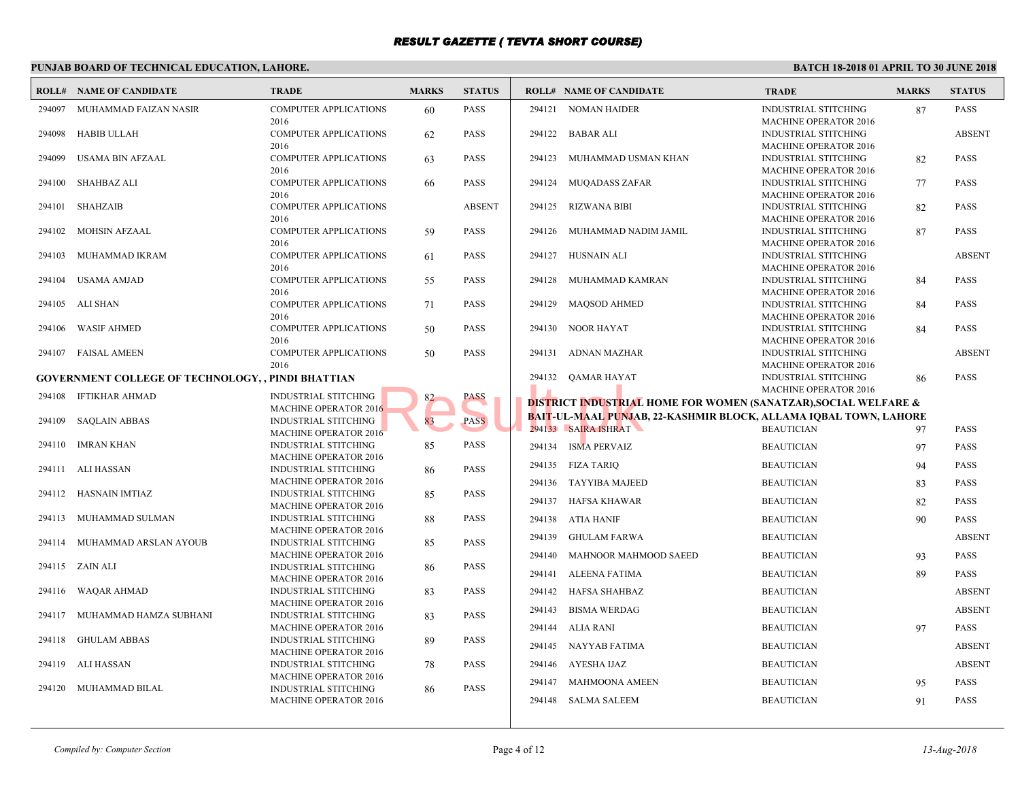#### **PUNJAB BOARD OF TECHNICAL EDUCATION, LAHORE. ROLL# NAME OF CANDIDATE TRADE MARKS STATUS ROLL# NAME OF CANDIDATE TRADE MARKS STATUS** COMPUTER APPLICATIONS 60 PASS 2016 294097 MUHAMMAD FAIZAN NASIR COMPUTER APPLICATIONS 62 PASS 2016 294098 HABIB ULLAH COMPUTER APPLICATIONS 63 PASS 2016 294099 USAMA BIN AFZAAL COMPUTER APPLICATIONS 66 PASS 2016 294100 SHAHBAZ ALI COMPUTER APPLICATIONS ABSENT 2016 294101 SHAHZAIB COMPUTER APPLICATIONS 59 PASS 2016 294102 MOHSIN AFZAAL COMPUTER APPLICATIONS 61 PASS 2016 294103 MUHAMMAD IKRAM COMPUTER APPLICATIONS 55 PASS 2016 294104 USAMA AMJAD COMPUTER APPLICATIONS 71 PASS 2016 294105 ALI SHAN COMPUTER APPLICATIONS 50 PASS 2016 294106 WASIF AHMED COMPUTER APPLICATIONS 50 PASS 2016 294107 FAISAL AMEEN **GOVERNMENT COLLEGE OF TECHNOLOGY, , PINDI BHATTIAN** INDUSTRIAL STITCHING 82 PASS MACHINE OPERATOR 2016 294108 IFTIKHAR AHMAD INDUSTRIAL STITCHING 83 PASS MACHINE OPERATOR 2016 294109 SAQLAIN ABBAS INDUSTRIAL STITCHING 85 PASS MACHINE OPERATOR 2016 294110 IMRAN KHAN INDUSTRIAL STITCHING 86 PASS MACHINE OPERATOR 2016 294111 ALI HASSAN INDUSTRIAL STITCHING 85 PASS MACHINE OPERATOR 2016 294112 HASNAIN IMTIAZ INDUSTRIAL STITCHING 88 PASS MACHINE OPERATOR 2016 294113 MUHAMMAD SULMAN INDUSTRIAL STITCHING 85 PASS MACHINE OPERATOR 2016 294114 MUHAMMAD ARSLAN AYOUB INDUSTRIAL STITCHING 86 PASS MACHINE OPERATOR 2016 294115 ZAIN ALI INDUSTRIAL STITCHING 83 PASS MACHINE OPERATOR 2016 294116 WAQAR AHMAD INDUSTRIAL STITCHING 83 PASS MACHINE OPERATOR 2016 294117 MUHAMMAD HAMZA SUBHANI INDUSTRIAL STITCHING 89 PASS MACHINE OPERATOR 2016 294118 GHULAM ABBAS INDUSTRIAL STITCHING 78 PASS MACHINE OPERATOR 2016 294119 ALI HASSAN INDUSTRIAL STITCHING 86 PASS MACHINE OPERATOR 2016 294120 MUHAMMAD BILAL INDUS MAC<sub>H</sub> 294121 NOMAN HAIDER INDUS MACH<sub>1</sub> 294122 BABAR ALI **INDUS MACH**  [294123 MUHAMMAD USM](http://www.result.pk/)AN KHAN INDUS MAC<sub>H</sub> 294124 MUQADASS ZAFAR INDUS MACH<sub>1</sub> 294125 RIZWANA BIBI INDUS MACH<br>INDUS 294126 MUHAMMAD NADIM JAMIL INDUS MACH<sub>1</sub> 294127 HUSNAIN ALI INDUS MACH<sub>1</sub> 294128 MUHAMMAD KAMRAN INDUS MAC<sub>H</sub> 294129 MAQSOD AHMED INDUS MAC<sub>H</sub> 294130 NOOR HAYAT INDUS **MACH**  294131 ADNAN MAZHAR INDUS **MACH**  294132 QAMAR HAYAT **DISTRICT INDUSTRIAL HOME FOR WOMEN (SANAT** B<mark>AIT-UL-MAAL PUNJAB, 22-KASHMIR BLOCK, ALL</mark>A 294133 SAIRA ISHRAT BEAUTICIAN 97 BEAUTICIAN 97 PASSAURA 1 294134 ISMA PERVAIZ BEAUTICIAN 97 BEAUTICIAN 97 PASSES BEAUTICIAN 97 PASSES BEAUTICIAN 97 PASSES BEAUTICIAN 97 PASSES BEAUTICIAN 97 PASSES BEAUTICIAN 97 PASSES BEAUTICIAN 97 PASSES BEAUTICIAN 97 PASSES BEAUTICIAN 97 PASSES 294135 FIZA TARIQ BEAUTICIAN 94135 294136 TAYYIBA MAJEED BEAUT 294137 HAFSA KHAWAR BEAUT 294138 ATIA HANIF BEAUT 294139 GHULAM FARWA BEAUT 294140 MAHNOOR MAHMOOD SAEED BEAUT 294141 ALEENA FATIMA BEAUT 294142 HAFSA SHAHBAZ BEAUT 294143 BISMA WERDAG BEAUT 294144 ALIA RANI BEAUT 294145 NAYYAB FATIMA BEAUT 294146 AYESHA IJAZ BEAUT 294147 MAHMOONA AMEEN BEAUT 294148 SALMA SALEEM BEAUT 16<br>
83 PASS PASS BAIT-UL-MAAL PUNJAR<br>
PASS PASS BAIT-UL-MAAL PUNJAR<br>
294133 BAIRA ISHRAT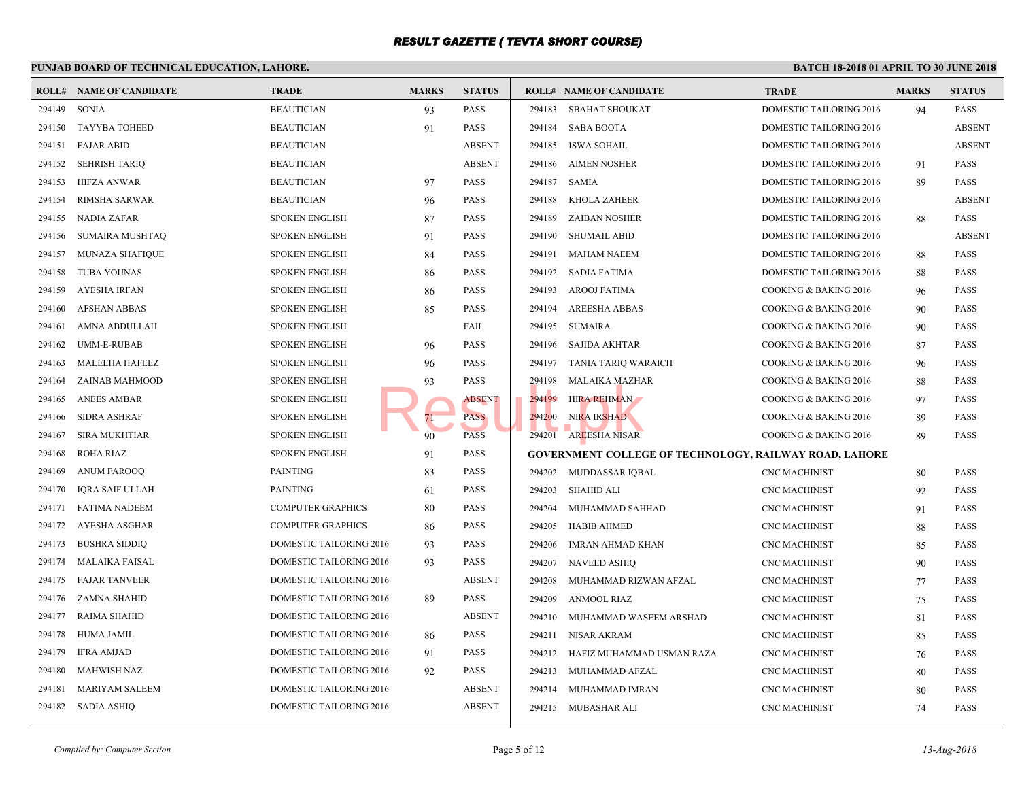|        | <b>ROLL# NAME OF CANDIDATE</b> | <b>TRADE</b>             | <b>MARKS</b> | <b>STATUS</b> |        | <b>ROLL# NAME OF CANDIDATE</b>                 | <b>TRAL</b>      |
|--------|--------------------------------|--------------------------|--------------|---------------|--------|------------------------------------------------|------------------|
| 294149 | <b>SONIA</b>                   | <b>BEAUTICIAN</b>        | 93           | PASS          | 294183 | <b>SBAHAT SHOUKAT</b>                          | <b>DOME</b>      |
| 294150 | <b>TAYYBA TOHEED</b>           | <b>BEAUTICIAN</b>        | 91           | PASS          | 294184 | SABA BOOTA                                     | <b>DOME</b>      |
| 294151 | <b>FAJAR ABID</b>              | <b>BEAUTICIAN</b>        |              | <b>ABSENT</b> | 294185 | ISWA SOHAIL                                    | <b>DOME</b>      |
| 294152 | <b>SEHRISH TARIQ</b>           | <b>BEAUTICIAN</b>        |              | <b>ABSENT</b> | 294186 | <b>AIMEN NOSHER</b>                            | <b>DOME</b>      |
| 294153 | <b>HIFZA ANWAR</b>             | <b>BEAUTICIAN</b>        | 97           | PASS          | 294187 | SAMIA                                          | <b>DOME</b>      |
| 294154 | <b>RIMSHA SARWAR</b>           | <b>BEAUTICIAN</b>        | 96           | PASS          | 294188 | <b>KHOLA ZAHEER</b>                            | <b>DOME</b>      |
| 294155 | <b>NADIA ZAFAR</b>             | <b>SPOKEN ENGLISH</b>    | 87           | <b>PASS</b>   | 294189 | <b>ZAIBAN NOSHER</b>                           | <b>DOME</b>      |
| 294156 | <b>SUMAIRA MUSHTAQ</b>         | <b>SPOKEN ENGLISH</b>    | 91           | PASS          | 294190 | <b>SHUMAIL ABID</b>                            | <b>DOME</b>      |
| 294157 | <b>MUNAZA SHAFIQUE</b>         | <b>SPOKEN ENGLISH</b>    | 84           | PASS          | 294191 | <b>MAHAM NAEEM</b>                             | <b>DOME</b>      |
| 294158 | <b>TUBA YOUNAS</b>             | <b>SPOKEN ENGLISH</b>    | 86           | PASS          | 294192 | <b>SADIA FATIMA</b>                            | <b>DOME</b>      |
| 294159 | <b>AYESHA IRFAN</b>            | <b>SPOKEN ENGLISH</b>    | 86           | PASS          | 294193 | <b>AROOJ FATIMA</b>                            | <b>COOK</b>      |
| 294160 | <b>AFSHAN ABBAS</b>            | <b>SPOKEN ENGLISH</b>    | 85           | PASS          | 294194 | AREESHA ABBAS                                  | <b>COOK</b>      |
| 294161 | AMNA ABDULLAH                  | <b>SPOKEN ENGLISH</b>    |              | FAIL          | 294195 | <b>SUMAIRA</b>                                 | <b>COOK</b>      |
| 294162 | UMM-E-RUBAB                    | <b>SPOKEN ENGLISH</b>    | 96           | PASS          | 294196 | SAJIDA AKHTAR                                  | <b>COOK</b>      |
| 294163 | MALEEHA HAFEEZ                 | <b>SPOKEN ENGLISH</b>    | 96           | PASS          | 294197 | TANIA TARIQ WARAICH                            | <b>COOK</b>      |
| 294164 | ZAINAB MAHMOOD                 | <b>SPOKEN ENGLISH</b>    | 93           | PASS          | 294198 | MALAIKA MAZHAR                                 | <b>COOK</b>      |
| 294165 | <b>ANEES AMBAR</b>             | <b>SPOKEN ENGLISH</b>    |              | <b>ABSENT</b> | 294199 | <b>HIRA REHMAN</b>                             | <b>COOK</b>      |
| 294166 | <b>SIDRA ASHRAF</b>            | <b>SPOKEN ENGLISH</b>    | 71           | <b>PASS</b>   | 294200 | NIRA IRSHAD                                    | <b>COOK</b>      |
| 294167 | <b>SIRA MUKHTIAR</b>           | <b>SPOKEN ENGLISH</b>    | 90           | <b>PASS</b>   | 294201 | <b>AREESHA NISAR</b>                           | <b>COOK</b>      |
| 294168 | <b>ROHA RIAZ</b>               | <b>SPOKEN ENGLISH</b>    | 91           | PASS          |        | <b>GOVERNMENT COLLEGE OF TECHNOLOGY, RAILW</b> |                  |
| 294169 | <b>ANUM FAROOQ</b>             | <b>PAINTING</b>          | 83           | <b>PASS</b>   |        | 294202 MUDDASSAR IQBAL                         | CNC <sub>N</sub> |
| 294170 | <b>IQRA SAIF ULLAH</b>         | <b>PAINTING</b>          | 61           | <b>PASS</b>   | 294203 | <b>SHAHID ALI</b>                              | CNC <sub>N</sub> |
| 294171 | <b>FATIMA NADEEM</b>           | <b>COMPUTER GRAPHICS</b> | 80           | PASS          | 294204 | MUHAMMAD SAHHAD                                | CNC <sub>N</sub> |
| 294172 | AYESHA ASGHAR                  | <b>COMPUTER GRAPHICS</b> | 86           | PASS          | 294205 | <b>HABIB AHMED</b>                             | CNC <sub>N</sub> |
| 294173 | <b>BUSHRA SIDDIQ</b>           | DOMESTIC TAILORING 2016  | 93           | PASS          | 294206 | <b>IMRAN AHMAD KHAN</b>                        | CNC <sub>N</sub> |
| 294174 | <b>MALAIKA FAISAL</b>          | DOMESTIC TAILORING 2016  | 93           | PASS          | 294207 | <b>NAVEED ASHIQ</b>                            | CNC <sub>N</sub> |
| 294175 | <b>FAJAR TANVEER</b>           | DOMESTIC TAILORING 2016  |              | <b>ABSENT</b> | 294208 | MUHAMMAD RIZWAN AFZAL                          | CNC <sub>N</sub> |
| 294176 | ZAMNA SHAHID                   | DOMESTIC TAILORING 2016  | 89           | PASS          | 294209 | <b>ANMOOL RIAZ</b>                             | CNC <sub>N</sub> |
| 294177 | RAIMA SHAHID                   | DOMESTIC TAILORING 2016  |              | <b>ABSENT</b> | 294210 | MUHAMMAD WASEEM ARSHAD                         | CNC <sub>N</sub> |
| 294178 | HUMA JAMIL                     | DOMESTIC TAILORING 2016  | 86           | PASS          | 294211 | NISAR AKRAM                                    | CNC <sub>N</sub> |
| 294179 | <b>IFRA AMJAD</b>              | DOMESTIC TAILORING 2016  | 91           | <b>PASS</b>   | 294212 | HAFIZ MUHAMMAD USMAN RAZA                      | CNC <sub>N</sub> |
| 294180 | <b>MAHWISH NAZ</b>             | DOMESTIC TAILORING 2016  | 92           | PASS          | 294213 | MUHAMMAD AFZAL                                 | CNC <sub>N</sub> |
| 294181 | <b>MARIYAM SALEEM</b>          | DOMESTIC TAILORING 2016  |              | <b>ABSENT</b> | 294214 | MUHAMMAD IMRAN                                 | CNC <sub>N</sub> |
| 294182 | SADIA ASHIO                    | DOMESTIC TAILORING 2016  |              | <b>ABSENT</b> |        | 294215 MUBASHAR ALI                            | CNC <sub>N</sub> |
|        |                                |                          |              |               |        |                                                |                  |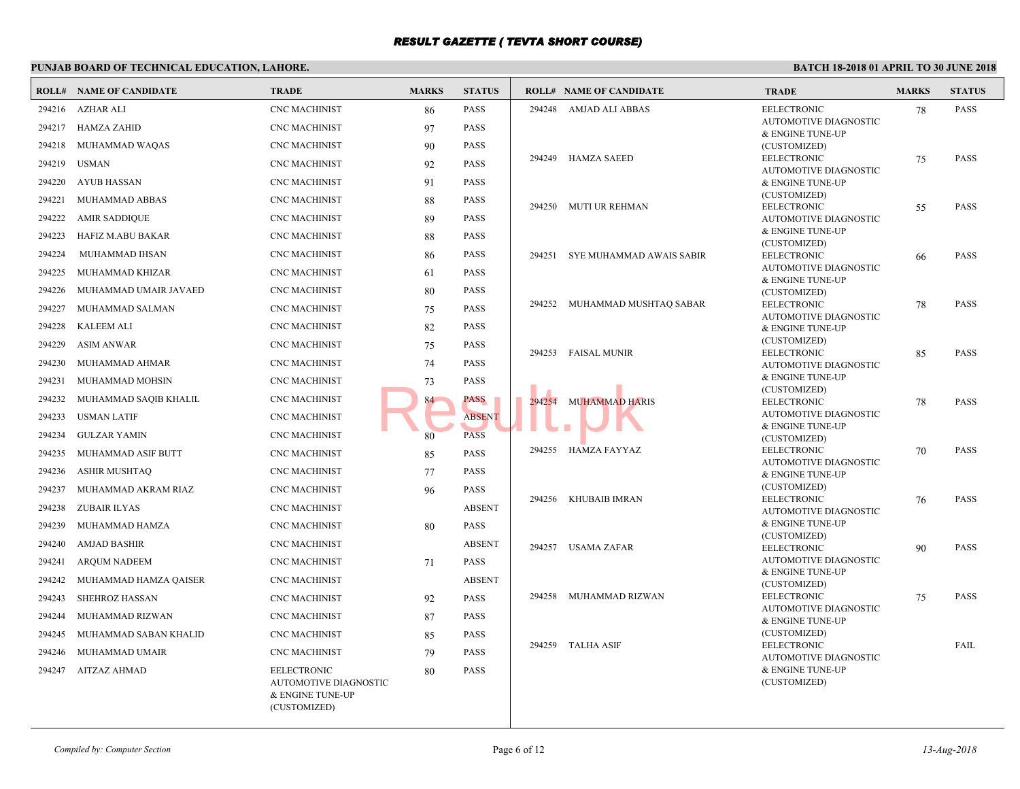|        | <b>ROLL# NAME OF CANDIDATE</b> | <b>TRADE</b>                                                                    | <b>MARKS</b> | <b>STATUS</b> |        | <b>ROLL# NAME OF CANDIDATE</b> | <b>TRAL</b>           |
|--------|--------------------------------|---------------------------------------------------------------------------------|--------------|---------------|--------|--------------------------------|-----------------------|
| 294216 | <b>AZHAR ALI</b>               | <b>CNC MACHINIST</b>                                                            | 86           | <b>PASS</b>   |        | 294248 AMJAD ALI ABBAS         | <b>EELEC</b>          |
| 294217 | <b>HAMZA ZAHID</b>             | <b>CNC MACHINIST</b>                                                            | 97           | <b>PASS</b>   |        |                                | AUTO!<br>$&$ ENG      |
| 294218 | MUHAMMAD WAQAS                 | <b>CNC MACHINIST</b>                                                            | 90           | <b>PASS</b>   |        |                                | (CUST                 |
| 294219 | <b>USMAN</b>                   | <b>CNC MACHINIST</b>                                                            | 92           | <b>PASS</b>   |        | 294249 HAMZA SAEED             | <b>EELEC</b>          |
| 294220 | <b>AYUB HASSAN</b>             | <b>CNC MACHINIST</b>                                                            | 91           | <b>PASS</b>   |        |                                | AUTO!<br>$&$ ENG      |
| 294221 | MUHAMMAD ABBAS                 | <b>CNC MACHINIST</b>                                                            | 88           | <b>PASS</b>   |        |                                | (CUST                 |
| 294222 | <b>AMIR SADDIQUE</b>           | <b>CNC MACHINIST</b>                                                            |              | <b>PASS</b>   |        | 294250 MUTI UR REHMAN          | <b>EELEC</b>          |
|        |                                |                                                                                 | 89           |               |        |                                | AUTO!<br>$&$ ENG      |
| 294223 | HAFIZ M.ABU BAKAR              | <b>CNC MACHINIST</b>                                                            | 88           | <b>PASS</b>   |        |                                | (CUST                 |
| 294224 | MUHAMMAD IHSAN                 | <b>CNC MACHINIST</b>                                                            | 86           | PASS          | 294251 | SYE MUHAMMAD AWAIS SABIR       | <b>EELEC</b><br>AUTO! |
| 294225 | MUHAMMAD KHIZAR                | <b>CNC MACHINIST</b>                                                            | 61           | <b>PASS</b>   |        |                                | & ENG                 |
| 294226 | MUHAMMAD UMAIR JAVAED          | <b>CNC MACHINIST</b>                                                            | 80           | PASS          |        |                                | (CUST                 |
| 294227 | MUHAMMAD SALMAN                | <b>CNC MACHINIST</b>                                                            | 75           | <b>PASS</b>   |        | 294252 MUHAMMAD MUSHTAQ SABAR  | <b>EELEC</b><br>AUTO! |
| 294228 | <b>KALEEM ALI</b>              | <b>CNC MACHINIST</b>                                                            | 82           | PASS          |        |                                | & ENG                 |
| 294229 | <b>ASIM ANWAR</b>              | <b>CNC MACHINIST</b>                                                            | 75           | PASS          |        |                                | (CUST                 |
| 294230 | MUHAMMAD AHMAR                 | <b>CNC MACHINIST</b>                                                            | 74           | <b>PASS</b>   |        | 294253 FAISAL MUNIR            | <b>EELEC</b><br>AUTO! |
| 294231 | MUHAMMAD MOHSIN                | <b>CNC MACHINIST</b>                                                            | 73           | PASS          |        |                                | & ENG                 |
| 294232 | MUHAMMAD SAQIB KHALIL          | <b>CNC MACHINIST</b>                                                            | 84           | PASS          |        | 294254 MUHAMMAD HARIS          | (CUST<br><b>EELEC</b> |
| 294233 | <b>USMAN LATIF</b>             | <b>CNC MACHINIST</b>                                                            |              | <b>ABSENT</b> |        |                                | AUTO!                 |
| 294234 | <b>GULZAR YAMIN</b>            | <b>CNC MACHINIST</b>                                                            | 80           | <b>PASS</b>   |        |                                | & ENG<br>(CUST        |
| 294235 | MUHAMMAD ASIF BUTT             | <b>CNC MACHINIST</b>                                                            | 85           | <b>PASS</b>   |        | 294255 HAMZA FAYYAZ            | <b>EELEC</b>          |
| 294236 | <b>ASHIR MUSHTAQ</b>           | <b>CNC MACHINIST</b>                                                            | 77           | <b>PASS</b>   |        |                                | AUTO!<br>& ENG        |
| 294237 | MUHAMMAD AKRAM RIAZ            | <b>CNC MACHINIST</b>                                                            | 96           | <b>PASS</b>   |        |                                | (CUST                 |
| 294238 | ZUBAIR ILYAS                   | <b>CNC MACHINIST</b>                                                            |              | <b>ABSENT</b> | 294256 | KHUBAIB IMRAN                  | <b>EELEC</b>          |
| 294239 | MUHAMMAD HAMZA                 | <b>CNC MACHINIST</b>                                                            | 80           | <b>PASS</b>   |        |                                | AUTO!<br>& ENG        |
| 294240 | <b>AMJAD BASHIR</b>            | <b>CNC MACHINIST</b>                                                            |              | <b>ABSENT</b> |        |                                | (CUST                 |
|        |                                |                                                                                 |              |               | 294257 | <b>USAMA ZAFAR</b>             | <b>EELEC</b><br>AUTO! |
| 294241 | ARQUM NADEEM                   | <b>CNC MACHINIST</b>                                                            | 71           | <b>PASS</b>   |        |                                | $&$ ENG               |
| 294242 | MUHAMMAD HAMZA QAISER          | <b>CNC MACHINIST</b>                                                            |              | <b>ABSENT</b> |        |                                | (CUST                 |
| 294243 | <b>SHEHROZ HASSAN</b>          | <b>CNC MACHINIST</b>                                                            | 92           | <b>PASS</b>   |        | 294258 MUHAMMAD RIZWAN         | <b>EELEC</b><br>AUTO! |
| 294244 | MUHAMMAD RIZWAN                | <b>CNC MACHINIST</b>                                                            | 87           | <b>PASS</b>   |        |                                | $&$ ENG               |
| 294245 | MUHAMMAD SABAN KHALID          | <b>CNC MACHINIST</b>                                                            | 85           | <b>PASS</b>   |        | 294259 TALHA ASIF              | (CUST<br><b>EELEC</b> |
| 294246 | MUHAMMAD UMAIR                 | <b>CNC MACHINIST</b>                                                            | 79           | <b>PASS</b>   |        |                                | AUTO!                 |
| 294247 | AITZAZ AHMAD                   | <b>EELECTRONIC</b><br>AUTOMOTIVE DIAGNOSTIC<br>& ENGINE TUNE-UP<br>(CUSTOMIZED) | 80           | <b>PASS</b>   |        |                                | & ENG<br>(CUST        |
|        |                                |                                                                                 |              |               |        |                                |                       |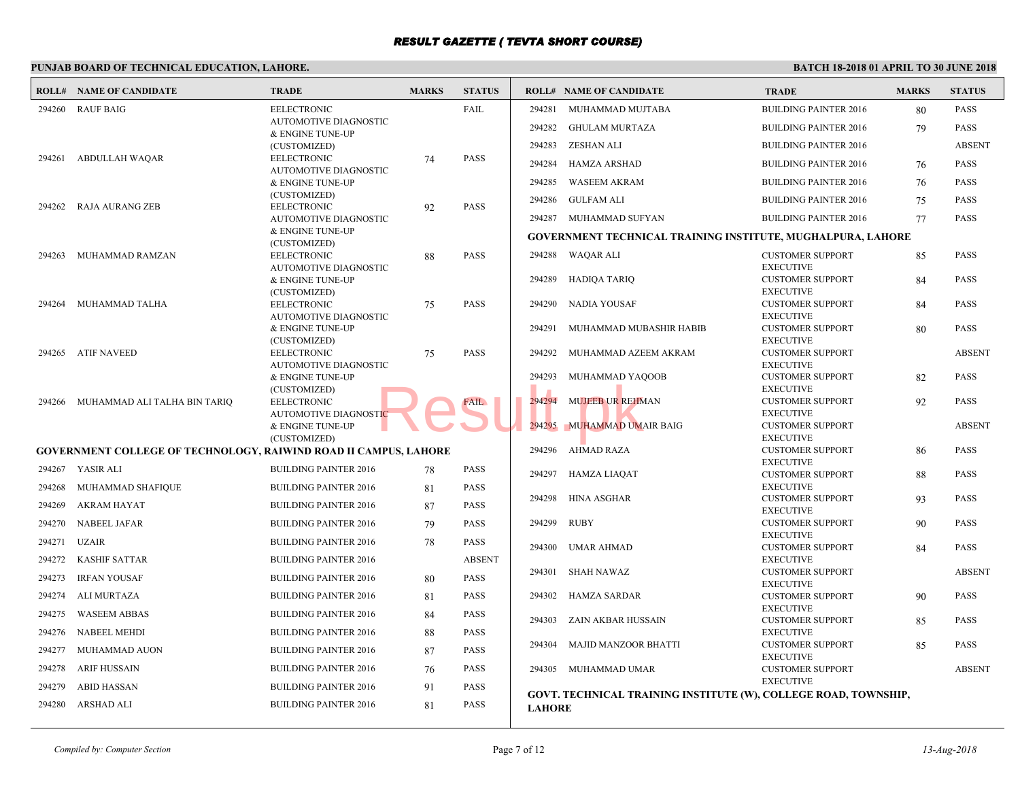|        | <b>ROLL# NAME OF CANDIDATE</b>                                          | <b>TRADE</b>                                       | <b>MARKS</b> | <b>STATUS</b> |               | <b>ROLL# NAME OF CANDIDATE</b>               | <b>TRAL</b>                 |
|--------|-------------------------------------------------------------------------|----------------------------------------------------|--------------|---------------|---------------|----------------------------------------------|-----------------------------|
| 294260 | <b>RAUF BAIG</b>                                                        | <b>EELECTRONIC</b>                                 |              | FAIL          | 294281        | MUHAMMAD MUJTABA                             | <b>BUILD</b>                |
|        |                                                                         | <b>AUTOMOTIVE DIAGNOSTIC</b>                       |              |               | 294282        | <b>GHULAM MURTAZA</b>                        | <b>BUILD</b>                |
|        |                                                                         | & ENGINE TUNE-UP                                   |              |               | 294283        | <b>ZESHAN ALI</b>                            | <b>BUILD</b>                |
| 294261 | ABDULLAH WAQAR                                                          | (CUSTOMIZED)<br><b>EELECTRONIC</b>                 | 74           | PASS          |               |                                              |                             |
|        |                                                                         | AUTOMOTIVE DIAGNOSTIC                              |              |               | 294284        | <b>HAMZA ARSHAD</b>                          | <b>BUILD</b>                |
|        |                                                                         | & ENGINE TUNE-UP                                   |              |               | 294285        | <b>WASEEM AKRAM</b>                          | <b>BUILD</b>                |
| 294262 | RAJA AURANG ZEB                                                         | (CUSTOMIZED)<br><b>EELECTRONIC</b>                 |              | PASS          | 294286        | <b>GULFAM ALI</b>                            | <b>BUILD</b>                |
|        |                                                                         | AUTOMOTIVE DIAGNOSTIC                              | 92           |               | 294287        | MUHAMMAD SUFYAN                              | <b>BUILD</b>                |
|        |                                                                         | & ENGINE TUNE-UP                                   |              |               |               | GOVERNMENT TECHNICAL TRAINING INSTITUTE,     |                             |
|        |                                                                         | (CUSTOMIZED)                                       |              |               |               |                                              |                             |
| 294263 | MUHAMMAD RAMZAN                                                         | <b>EELECTRONIC</b><br><b>AUTOMOTIVE DIAGNOSTIC</b> | 88           | <b>PASS</b>   |               | 294288 WAQAR ALI                             | <b>CUST</b><br><b>EXECU</b> |
|        |                                                                         | & ENGINE TUNE-UP                                   |              |               | 294289        | HADIQA TARIQ                                 | <b>CUST</b>                 |
|        |                                                                         | (CUSTOMIZED)                                       |              |               |               |                                              | <b>EXECI</b>                |
| 294264 | MUHAMMAD TALHA                                                          | <b>EELECTRONIC</b>                                 | 75           | PASS          | 294290        | NADIA YOUSAF                                 | <b>CUST</b>                 |
|        |                                                                         | AUTOMOTIVE DIAGNOSTIC<br>& ENGINE TUNE-UP          |              |               | 294291        | MUHAMMAD MUBASHIR HABIB                      | <b>EXECI</b><br><b>CUST</b> |
|        |                                                                         | (CUSTOMIZED)                                       |              |               |               |                                              | <b>EXECU</b>                |
|        | 294265 ATIF NAVEED                                                      | <b>EELECTRONIC</b>                                 | 75           | <b>PASS</b>   | 294292        | MUHAMMAD AZEEM AKRAM                         | <b>CUST</b>                 |
|        |                                                                         | <b>AUTOMOTIVE DIAGNOSTIC</b>                       |              |               |               |                                              | <b>EXECU</b><br><b>CUST</b> |
|        |                                                                         | & ENGINE TUNE-UP<br>(CUSTOMIZED)                   |              |               | 294293        | MUHAMMAD YAQOOB                              | <b>EXECU</b>                |
| 294266 | MUHAMMAD ALI TALHA BIN TARIQ                                            | <b>EELECTRONIC</b>                                 |              | <b>FAIL</b>   | 294294        | <b>MUJEEB UR REHMAN</b>                      | <b>CUST</b>                 |
|        |                                                                         | AUTOMOTIVE DIAGNOSTIC                              |              |               |               |                                              | <b>EXECU</b>                |
|        |                                                                         | & ENGINE TUNE-UP                                   |              |               | 294295        | MUHAMMAD UMAIR BAIG                          | <b>CUST</b>                 |
|        | <b>GOVERNMENT COLLEGE OF TECHNOLOGY, RAIWIND ROAD II CAMPUS, LAHORE</b> | (CUSTOMIZED)                                       |              |               |               | 294296 AHMAD RAZA                            | <b>EXECU</b><br><b>CUST</b> |
|        |                                                                         |                                                    |              |               |               |                                              | <b>EXECU</b>                |
|        | 294267 YASIR ALI                                                        | <b>BUILDING PAINTER 2016</b>                       | 78           | PASS          | 294297        | HAMZA LIAQAT                                 | <b>CUST</b>                 |
| 294268 | MUHAMMAD SHAFIQUE                                                       | <b>BUILDING PAINTER 2016</b>                       | 81           | PASS          | 294298        | HINA ASGHAR                                  | <b>EXECU</b><br><b>CUST</b> |
| 294269 | <b>AKRAM HAYAT</b>                                                      | <b>BUILDING PAINTER 2016</b>                       | 87           | PASS          |               |                                              | <b>EXECU</b>                |
| 294270 | NABEEL JAFAR                                                            | <b>BUILDING PAINTER 2016</b>                       | 79           | PASS          | 294299        | <b>RUBY</b>                                  | <b>CUST</b>                 |
| 294271 | UZAIR                                                                   | <b>BUILDING PAINTER 2016</b>                       | 78           | PASS          |               |                                              | <b>EXECU</b>                |
| 294272 | KASHIF SATTAR                                                           | <b>BUILDING PAINTER 2016</b>                       |              | <b>ABSENT</b> | 294300        | UMAR AHMAD                                   | <b>CUST</b><br><b>EXECU</b> |
|        |                                                                         |                                                    |              |               | 294301        | SHAH NAWAZ                                   | <b>CUST</b>                 |
| 294273 | <b>IRFAN YOUSAF</b>                                                     | <b>BUILDING PAINTER 2016</b>                       | 80           | <b>PASS</b>   |               |                                              | <b>EXECU</b>                |
| 294274 | <b>ALI MURTAZA</b>                                                      | <b>BUILDING PAINTER 2016</b>                       | 81           | PASS          | 294302        | HAMZA SARDAR                                 | <b>CUST</b>                 |
| 294275 | <b>WASEEM ABBAS</b>                                                     | <b>BUILDING PAINTER 2016</b>                       | 84           | <b>PASS</b>   | 294303        | ZAIN AKBAR HUSSAIN                           | <b>EXECU</b><br><b>CUST</b> |
| 294276 | <b>NABEEL MEHDI</b>                                                     | <b>BUILDING PAINTER 2016</b>                       | 88           | PASS          |               |                                              | <b>EXECI</b>                |
| 294277 | MUHAMMAD AUON                                                           | <b>BUILDING PAINTER 2016</b>                       | 87           | <b>PASS</b>   | 294304        | <b>MAJID MANZOOR BHATTI</b>                  | <b>CUST</b>                 |
| 294278 |                                                                         |                                                    |              |               |               |                                              | <b>EXECI</b>                |
|        | ARIF HUSSAIN                                                            | <b>BUILDING PAINTER 2016</b>                       | 76           | PASS          |               | 294305 MUHAMMAD UMAR                         | <b>CUST</b><br><b>EXECU</b> |
| 294279 | <b>ABID HASSAN</b>                                                      | <b>BUILDING PAINTER 2016</b>                       | 91           | PASS          |               | GOVT. TECHNICAL TRAINING INSTITUTE (W), COLI |                             |
| 294280 | ARSHAD ALI                                                              | <b>BUILDING PAINTER 2016</b>                       | 81           | PASS          | <b>LAHORE</b> |                                              |                             |
|        |                                                                         |                                                    |              |               |               |                                              |                             |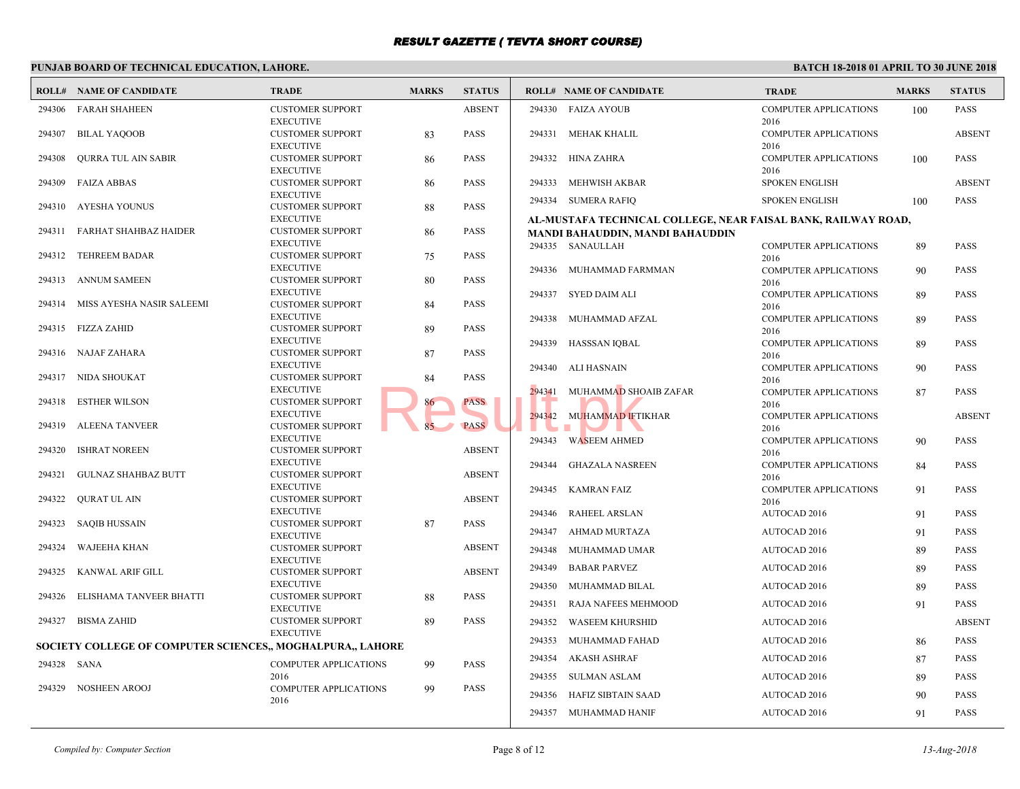|             | <b>ROLL# NAME OF CANDIDATE</b>                             | <b>TRADE</b>                                | <b>MARKS</b> | <b>STATUS</b> |        | <b>ROLL# NAME OF CANDIDATE</b>            | <b>TRAL</b>         |
|-------------|------------------------------------------------------------|---------------------------------------------|--------------|---------------|--------|-------------------------------------------|---------------------|
| 294306      | FARAH SHAHEEN                                              | <b>CUSTOMER SUPPORT</b>                     |              | <b>ABSENT</b> |        | 294330 FAIZA AYOUB                        | <b>COMP</b>         |
|             |                                                            | <b>EXECUTIVE</b>                            |              |               |        |                                           | 2016                |
| 294307      | <b>BILAL YAQOOB</b>                                        | <b>CUSTOMER SUPPORT</b>                     | 83           | <b>PASS</b>   |        | 294331 MEHAK KHALIL                       | <b>COMP</b>         |
|             |                                                            | <b>EXECUTIVE</b>                            |              |               |        |                                           | 2016                |
| 294308      | <b>OURRA TUL AIN SABIR</b>                                 | <b>CUSTOMER SUPPORT</b><br><b>EXECUTIVE</b> | 86           | <b>PASS</b>   | 294332 | HINA ZAHRA                                | <b>COMP</b><br>2016 |
| 294309      | <b>FAIZA ABBAS</b>                                         | <b>CUSTOMER SUPPORT</b>                     | 86           | <b>PASS</b>   | 294333 | MEHWISH AKBAR                             | <b>SPOKE</b>        |
|             |                                                            | <b>EXECUTIVE</b>                            |              |               |        |                                           |                     |
| 294310      | AYESHA YOUNUS                                              | <b>CUSTOMER SUPPORT</b>                     | 88           | <b>PASS</b>   |        | 294334 SUMERA RAFIQ                       | <b>SPOKE</b>        |
|             |                                                            | <b>EXECUTIVE</b>                            |              |               |        | AL-MUSTAFA TECHNICAL COLLEGE, NEAR FAISAL |                     |
| 294311      | FARHAT SHAHBAZ HAIDER                                      | <b>CUSTOMER SUPPORT</b>                     | 86           | <b>PASS</b>   |        | MANDI BAHAUDDIN, MANDI BAHAUDDIN          |                     |
|             |                                                            | <b>EXECUTIVE</b>                            |              |               |        | 294335 SANAULLAH                          | <b>COMP</b>         |
| 294312      | <b>TEHREEM BADAR</b>                                       | <b>CUSTOMER SUPPORT</b>                     | 75           | <b>PASS</b>   |        |                                           | 2016                |
|             |                                                            | <b>EXECUTIVE</b>                            |              |               |        | 294336 MUHAMMAD FARMMAN                   | <b>COMP</b>         |
| 294313      | <b>ANNUM SAMEEN</b>                                        | <b>CUSTOMER SUPPORT</b>                     | 80           | <b>PASS</b>   |        |                                           | 2016                |
|             |                                                            | <b>EXECUTIVE</b>                            |              |               |        | 294337 SYED DAIM ALI                      | <b>COMP</b>         |
| 294314      | MISS AYESHA NASIR SALEEMI                                  | <b>CUSTOMER SUPPORT</b>                     | 84           | <b>PASS</b>   |        |                                           | 2016                |
|             |                                                            | <b>EXECUTIVE</b>                            |              |               | 294338 | MUHAMMAD AFZAL                            | <b>COMP</b>         |
|             | 294315 FIZZA ZAHID                                         | <b>CUSTOMER SUPPORT</b>                     | 89           | <b>PASS</b>   |        |                                           | 2016                |
|             | 294316 NAJAF ZAHARA                                        | <b>EXECUTIVE</b><br><b>CUSTOMER SUPPORT</b> |              | <b>PASS</b>   |        | 294339 HASSSAN IQBAL                      | <b>COMP</b>         |
|             |                                                            | <b>EXECUTIVE</b>                            | 87           |               |        |                                           | 2016                |
|             | 294317 NIDA SHOUKAT                                        | <b>CUSTOMER SUPPORT</b>                     | 84           | <b>PASS</b>   | 294340 | ALI HASNAIN                               | <b>COMP</b>         |
|             |                                                            | <b>EXECUTIVE</b>                            |              |               | 294341 | MUHAMMAD SHOAIB ZAFAR                     | 2016<br>COMP        |
| 294318      | <b>ESTHER WILSON</b>                                       | <b>CUSTOMER SUPPORT</b>                     | 86           | <b>PASS</b>   |        |                                           | 2016                |
|             |                                                            | <b>EXECUTIVE</b>                            |              |               |        | 294342 MUHAMMAD IFTIKHAR                  | <b>COMP</b>         |
| 294319      | <b>ALEENA TANVEER</b>                                      | <b>CUSTOMER SUPPORT</b>                     |              | <b>PASS</b>   |        | <b>COL</b>                                | 2016                |
|             |                                                            | <b>EXECUTIVE</b>                            |              |               |        | 294343 WASEEM AHMED                       | <b>COMP</b>         |
| 294320      | <b>ISHRAT NOREEN</b>                                       | <b>CUSTOMER SUPPORT</b>                     |              | <b>ABSENT</b> |        |                                           | 2016                |
|             |                                                            | <b>EXECUTIVE</b>                            |              |               |        | 294344 GHAZALA NASREEN                    | <b>COMP</b>         |
| 294321      | <b>GULNAZ SHAHBAZ BUTT</b>                                 | <b>CUSTOMER SUPPORT</b>                     |              | <b>ABSENT</b> |        |                                           | 2016                |
|             |                                                            | <b>EXECUTIVE</b>                            |              |               |        | 294345 KAMRAN FAIZ                        | <b>COMP</b>         |
| 294322      | QURAT UL AIN                                               | <b>CUSTOMER SUPPORT</b>                     |              | <b>ABSENT</b> |        |                                           | 2016                |
|             |                                                            | <b>EXECUTIVE</b>                            |              |               |        | 294346 RAHEEL ARSLAN                      | <b>AUTO</b>         |
| 294323      | <b>SAQIB HUSSAIN</b>                                       | <b>CUSTOMER SUPPORT</b><br><b>EXECUTIVE</b> | 87           | <b>PASS</b>   | 294347 | AHMAD MURTAZA                             | <b>AUTO</b>         |
| 294324      | WAJEEHA KHAN                                               | <b>CUSTOMER SUPPORT</b>                     |              | <b>ABSENT</b> |        |                                           |                     |
|             |                                                            | <b>EXECUTIVE</b>                            |              |               | 294348 | MUHAMMAD UMAR                             | AUTO                |
| 294325      | KANWAL ARIF GILL                                           | <b>CUSTOMER SUPPORT</b>                     |              | <b>ABSENT</b> | 294349 | <b>BABAR PARVEZ</b>                       | <b>AUTO</b>         |
|             |                                                            | <b>EXECUTIVE</b>                            |              |               | 294350 | MUHAMMAD BILAL                            | AUTO                |
| 294326      | ELISHAMA TANVEER BHATTI                                    | <b>CUSTOMER SUPPORT</b>                     | 88           | <b>PASS</b>   |        |                                           |                     |
|             |                                                            | <b>EXECUTIVE</b>                            |              |               | 294351 | RAJA NAFEES MEHMOOD                       | AUTO                |
|             | 294327 BISMA ZAHID                                         | <b>CUSTOMER SUPPORT</b>                     | 89           | <b>PASS</b>   | 294352 | WASEEM KHURSHID                           | <b>AUTO</b>         |
|             |                                                            | <b>EXECUTIVE</b>                            |              |               | 294353 | MUHAMMAD FAHAD                            | <b>AUTO</b>         |
|             | SOCIETY COLLEGE OF COMPUTER SCIENCES,, MOGHALPURA,, LAHORE |                                             |              |               |        |                                           |                     |
| 294328 SANA |                                                            | <b>COMPUTER APPLICATIONS</b>                | 99           | <b>PASS</b>   |        | 294354 AKASH ASHRAF                       | <b>AUTO</b>         |
|             |                                                            | 2016                                        |              |               |        | 294355 SULMAN ASLAM                       | <b>AUTO</b>         |
|             | 294329 NOSHEEN AROOJ                                       | <b>COMPUTER APPLICATIONS</b>                | 99           | <b>PASS</b>   |        |                                           |                     |
|             |                                                            | 2016                                        |              |               | 294356 | HAFIZ SIBTAIN SAAD                        | <b>AUTO</b>         |
|             |                                                            |                                             |              |               |        | 294357 MUHAMMAD HANIF                     | <b>AUTO</b>         |
|             |                                                            |                                             |              |               |        |                                           |                     |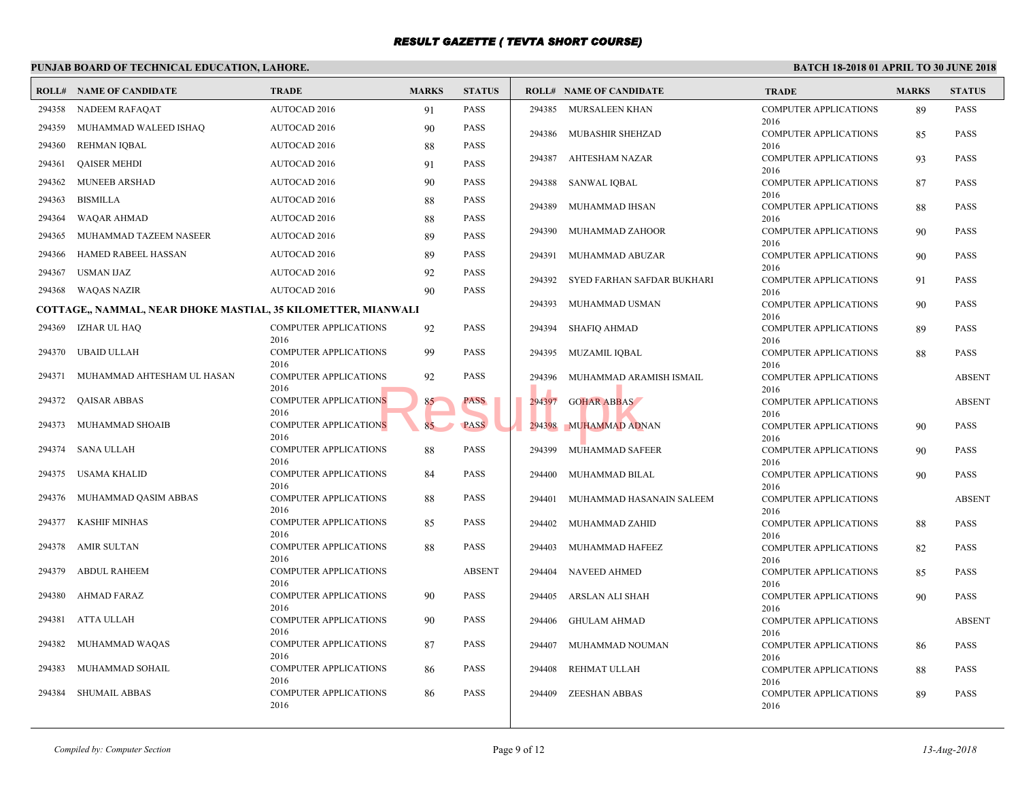|        | PUNJAB BOARD OF TECHNICAL EDUCATION, LAHORE.                  |                                      |              |               |        |                                |                     |
|--------|---------------------------------------------------------------|--------------------------------------|--------------|---------------|--------|--------------------------------|---------------------|
|        | <b>ROLL# NAME OF CANDIDATE</b>                                | <b>TRADE</b>                         | <b>MARKS</b> | <b>STATUS</b> |        | <b>ROLL# NAME OF CANDIDATE</b> | <b>TRAL</b>         |
| 294358 | NADEEM RAFAQAT                                                | AUTOCAD 2016                         | 91           | <b>PASS</b>   | 294385 | MURSALEEN KHAN                 | <b>COMP</b>         |
| 294359 | MUHAMMAD WALEED ISHAQ                                         | <b>AUTOCAD 2016</b>                  | 90           | <b>PASS</b>   | 294386 | MUBASHIR SHEHZAD               | 2016<br><b>COMP</b> |
| 294360 | REHMAN IQBAL                                                  | <b>AUTOCAD 2016</b>                  | 88           | <b>PASS</b>   |        |                                | 2016                |
| 294361 | <b>QAISER MEHDI</b>                                           | AUTOCAD 2016                         | 91           | <b>PASS</b>   | 294387 | AHTESHAM NAZAR                 | <b>COMP</b>         |
| 294362 | <b>MUNEEB ARSHAD</b>                                          | <b>AUTOCAD 2016</b>                  | 90           | <b>PASS</b>   | 294388 | <b>SANWAL IQBAL</b>            | 2016<br><b>COMP</b> |
|        |                                                               |                                      |              |               |        |                                | 2016                |
| 294363 | <b>BISMILLA</b>                                               | AUTOCAD 2016                         | 88           | <b>PASS</b>   | 294389 | MUHAMMAD IHSAN                 | <b>COMP</b>         |
| 294364 | <b>WAQAR AHMAD</b>                                            | <b>AUTOCAD 2016</b>                  | 88           | <b>PASS</b>   |        |                                | 2016                |
| 294365 | MUHAMMAD TAZEEM NASEER                                        | <b>AUTOCAD 2016</b>                  | 89           | <b>PASS</b>   | 294390 | MUHAMMAD ZAHOOR                | <b>COMP</b><br>2016 |
| 294366 | HAMED RABEEL HASSAN                                           | <b>AUTOCAD 2016</b>                  | 89           | <b>PASS</b>   | 294391 | MUHAMMAD ABUZAR                | <b>COMP</b>         |
| 294367 | <b>USMAN IJAZ</b>                                             | <b>AUTOCAD 2016</b>                  | 92           | PASS          |        |                                | 2016                |
| 294368 | WAQAS NAZIR                                                   | <b>AUTOCAD 2016</b>                  | 90           | <b>PASS</b>   | 294392 | SYED FARHAN SAFDAR BUKHARI     | <b>COMP</b><br>2016 |
|        | COTTAGE,, NAMMAL, NEAR DHOKE MASTIAL, 35 KILOMETTER, MIANWALI |                                      |              |               | 294393 | MUHAMMAD USMAN                 | <b>COMP</b>         |
|        | 294369 IZHAR UL HAQ                                           | COMPUTER APPLICATIONS                | 92           | <b>PASS</b>   | 294394 | <b>SHAFIQ AHMAD</b>            | 2016<br><b>COMP</b> |
|        |                                                               | 2016                                 |              |               |        |                                | 2016                |
| 294370 | UBAID ULLAH                                                   | COMPUTER APPLICATIONS                | 99           | <b>PASS</b>   | 294395 | MUZAMIL IQBAL                  | <b>COMP</b>         |
| 294371 | MUHAMMAD AHTESHAM UL HASAN                                    | 2016<br><b>COMPUTER APPLICATIONS</b> | 92           | <b>PASS</b>   | 294396 | MUHAMMAD ARAMISH ISMAIL        | 2016<br><b>COMP</b> |
| 294372 | <b>QAISAR ABBAS</b>                                           | 2016<br>COMPUTER APPLICATIONS        | 85           | <b>PASS</b>   | 294397 | <b>GOHAR ABBAS</b>             | 2016<br><b>COMP</b> |
|        |                                                               | 2016                                 |              |               |        |                                | 2016                |
| 294373 | MUHAMMAD SHOAIB                                               | <b>COMPUTER APPLICATIONS</b><br>2016 | 85           | <b>PASS</b>   | 294398 | MUHAMMAD ADNAN                 | <b>COMP</b><br>2016 |
| 294374 | SANA ULLAH                                                    | <b>COMPUTER APPLICATIONS</b><br>2016 | 88           | <b>PASS</b>   | 294399 | MUHAMMAD SAFEER                | <b>COMP</b>         |
| 294375 | USAMA KHALID                                                  | COMPUTER APPLICATIONS                | 84           | <b>PASS</b>   | 294400 | MUHAMMAD BILAL                 | 2016<br><b>COMP</b> |
|        |                                                               | 2016                                 |              |               |        |                                | 2016                |
| 294376 | MUHAMMAD QASIM ABBAS                                          | <b>COMPUTER APPLICATIONS</b><br>2016 | 88           | <b>PASS</b>   | 294401 | MUHAMMAD HASANAIN SALEEM       | <b>COMP</b>         |
| 294377 | <b>KASHIF MINHAS</b>                                          | <b>COMPUTER APPLICATIONS</b>         | 85           | PASS          | 294402 | MUHAMMAD ZAHID                 | 2016<br><b>COMP</b> |
|        |                                                               | 2016                                 |              |               |        |                                | 2016                |
| 294378 | <b>AMIR SULTAN</b>                                            | COMPUTER APPLICATIONS                | 88           | <b>PASS</b>   | 294403 | MUHAMMAD HAFEEZ                | <b>COMP</b>         |
| 294379 | ABDUL RAHEEM                                                  | 2016<br><b>COMPUTER APPLICATIONS</b> |              | <b>ABSENT</b> | 294404 | <b>NAVEED AHMED</b>            | 2016<br><b>COMP</b> |
|        |                                                               | 2016                                 |              |               |        |                                | 2016                |
| 294380 | AHMAD FARAZ                                                   | <b>COMPUTER APPLICATIONS</b>         | 90           | <b>PASS</b>   | 294405 | ARSLAN ALI SHAH                | <b>COMP</b>         |
| 294381 | ATTA ULLAH                                                    | 2016<br><b>COMPUTER APPLICATIONS</b> | 90           | <b>PASS</b>   | 294406 | <b>GHULAM AHMAD</b>            | 2016<br><b>COMP</b> |
|        |                                                               | 2016                                 |              |               |        |                                | 2016                |
| 294382 | MUHAMMAD WAQAS                                                | COMPUTER APPLICATIONS<br>2016        | 87           | <b>PASS</b>   | 294407 | MUHAMMAD NOUMAN                | <b>COMP</b><br>2016 |
| 294383 | MUHAMMAD SOHAIL                                               | <b>COMPUTER APPLICATIONS</b>         | 86           | <b>PASS</b>   | 294408 | REHMAT ULLAH                   | <b>COMP</b>         |
|        |                                                               | 2016                                 |              |               |        |                                | 2016                |
| 294384 | <b>SHUMAIL ABBAS</b>                                          | <b>COMPUTER APPLICATIONS</b>         | 86           | PASS          | 294409 | <b>ZEESHAN ABBAS</b>           | <b>COMP</b>         |
|        |                                                               | 2016                                 |              |               |        |                                | 2016                |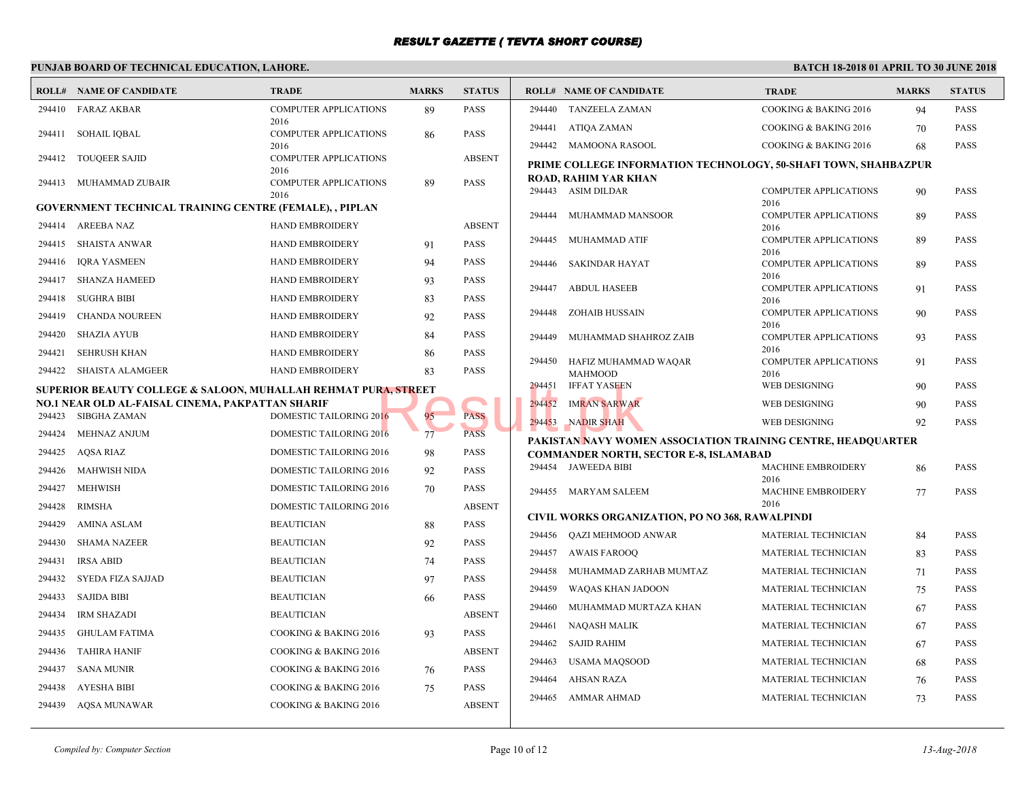|        | <b>ROLL# NAME OF CANDIDATE</b>                                            | <b>TRADE</b>                         | <b>MARKS</b> | <b>STATUS</b> |        | <b>ROLL# NAME OF CANDIDATE</b>                | <b>TRAL</b>         |
|--------|---------------------------------------------------------------------------|--------------------------------------|--------------|---------------|--------|-----------------------------------------------|---------------------|
| 294410 | <b>FARAZ AKBAR</b>                                                        | <b>COMPUTER APPLICATIONS</b>         | 89           | PASS          | 294440 | TANZEELA ZAMAN                                | <b>COOK</b>         |
| 294411 | SOHAIL IQBAL                                                              | 2016<br><b>COMPUTER APPLICATIONS</b> | 86           | <b>PASS</b>   | 294441 | ATIQA ZAMAN                                   | <b>COOK</b>         |
|        |                                                                           | 2016                                 |              |               |        | 294442 MAMOONA RASOOL                         | <b>COOK</b>         |
| 294412 | <b>TOUQEER SAJID</b>                                                      | <b>COMPUTER APPLICATIONS</b>         |              | <b>ABSENT</b> |        | PRIME COLLEGE INFORMATION TECHNOLOGY, 50-     |                     |
| 294413 | MUHAMMAD ZUBAIR                                                           | 2016<br><b>COMPUTER APPLICATIONS</b> | 89           | <b>PASS</b>   |        | ROAD, RAHIM YAR KHAN                          |                     |
|        |                                                                           | 2016                                 |              |               |        | 294443 ASIM DILDAR                            | <b>COMP</b>         |
|        | <b>GOVERNMENT TECHNICAL TRAINING CENTRE (FEMALE), , PIPLAN</b>            |                                      |              |               | 294444 | MUHAMMAD MANSOOR                              | 2016<br><b>COMP</b> |
| 294414 | AREEBA NAZ                                                                | <b>HAND EMBROIDERY</b>               |              | <b>ABSENT</b> |        |                                               | 2016                |
| 294415 | <b>SHAISTA ANWAR</b>                                                      | <b>HAND EMBROIDERY</b>               | 91           | <b>PASS</b>   |        | 294445 MUHAMMAD ATIF                          | <b>COMP</b>         |
| 294416 | <b>IQRA YASMEEN</b>                                                       | HAND EMBROIDERY                      | 94           | <b>PASS</b>   | 294446 | SAKINDAR HAYAT                                | 2016<br><b>COMP</b> |
| 294417 | <b>SHANZA HAMEED</b>                                                      | <b>HAND EMBROIDERY</b>               | 93           | <b>PASS</b>   |        |                                               | 2016                |
| 294418 | <b>SUGHRA BIBI</b>                                                        | <b>HAND EMBROIDERY</b>               | 83           | <b>PASS</b>   | 294447 | <b>ABDUL HASEEB</b>                           | <b>COMP</b><br>2016 |
| 294419 | <b>CHANDA NOUREEN</b>                                                     | HAND EMBROIDERY                      | 92           | <b>PASS</b>   | 294448 | ZOHAIB HUSSAIN                                | <b>COMP</b>         |
|        |                                                                           |                                      |              |               |        |                                               | 2016                |
| 294420 | SHAZIA AYUB                                                               | <b>HAND EMBROIDERY</b>               | 84           | PASS          | 294449 | MUHAMMAD SHAHROZ ZAIB                         | <b>COMP</b><br>2016 |
| 294421 | <b>SEHRUSH KHAN</b>                                                       | <b>HAND EMBROIDERY</b>               | 86           | PASS          | 294450 | HAFIZ MUHAMMAD WAQAR                          | <b>COMP</b>         |
| 294422 | SHAISTA ALAMGEER                                                          | <b>HAND EMBROIDERY</b>               | 83           | PASS          |        | <b>MAHMOOD</b>                                | 2016                |
|        | <b>SUPERIOR BEAUTY COLLEGE &amp; SALOON, MUHALLAH REHMAT PURA, STREET</b> |                                      |              |               | 294451 | <b>IFFAT YASEEN</b>                           | WEB I               |
| 294423 | NO.1 NEAR OLD AL-FAISAL CINEMA, PAKPATTAN SHARIF<br>SIBGHA ZAMAN          | DOMESTIC TAILORING 2016              | 95           | <b>PASS</b>   | 294452 | <b>IMRAN SARWAR</b>                           | WEB I               |
|        |                                                                           |                                      |              |               | 294453 | NADIR SHAH                                    | <b>WEB</b> I        |
| 294424 | MEHNAZ ANJUM                                                              | DOMESTIC TAILORING 2016              | 77           | <b>PASS</b>   |        | PAKISTAN NAVY WOMEN ASSOCIATION TRAINING      |                     |
| 294425 | AQSA RIAZ                                                                 | DOMESTIC TAILORING 2016              | 98           | PASS          |        | <b>COMMANDER NORTH, SECTOR E-8, ISLAMABAD</b> |                     |
| 294426 | <b>MAHWISH NIDA</b>                                                       | DOMESTIC TAILORING 2016              | 92           | <b>PASS</b>   |        | 294454 JAWEEDA BIBI                           | MACH<br>2016        |
| 294427 | <b>MEHWISH</b>                                                            | DOMESTIC TAILORING 2016              | 70           | PASS          |        | 294455 MARYAM SALEEM                          | MACH                |
| 294428 | RIMSHA                                                                    | DOMESTIC TAILORING 2016              |              | <b>ABSENT</b> |        |                                               | 2016                |
| 294429 | AMINA ASLAM                                                               | <b>BEAUTICIAN</b>                    | 88           | <b>PASS</b>   |        | CIVIL WORKS ORGANIZATION, PO NO 368, RAWALP   |                     |
| 294430 | <b>SHAMA NAZEER</b>                                                       | <b>BEAUTICIAN</b>                    | 92           | <b>PASS</b>   | 294456 | QAZI MEHMOOD ANWAR                            | <b>MATE</b>         |
| 294431 | <b>IRSA ABID</b>                                                          | <b>BEAUTICIAN</b>                    | 74           | PASS          | 294457 | <b>AWAIS FAROOQ</b>                           | <b>MATE</b>         |
| 294432 | SYEDA FIZA SAJJAD                                                         | <b>BEAUTICIAN</b>                    | 97           | PASS          | 294458 | MUHAMMAD ZARHAB MUMTAZ                        | <b>MATE</b>         |
| 294433 | <b>SAJIDA BIBI</b>                                                        | <b>BEAUTICIAN</b>                    | 66           | PASS          | 294459 | WAQAS KHAN JADOON                             | <b>MATE</b>         |
| 294434 | IRM SHAZADI                                                               | <b>BEAUTICIAN</b>                    |              | <b>ABSENT</b> | 294460 | MUHAMMAD MURTAZA KHAN                         | <b>MATE</b>         |
| 294435 | <b>GHULAM FATIMA</b>                                                      | COOKING & BAKING 2016                | 93           | PASS          | 294461 | NAQASH MALIK                                  | <b>MATE</b>         |
| 294436 | <b>TAHIRA HANIF</b>                                                       | COOKING & BAKING 2016                |              | <b>ABSENT</b> | 294462 | SAJID RAHIM                                   | <b>MATE</b>         |
| 294437 | <b>SANA MUNIR</b>                                                         | COOKING & BAKING 2016                |              | <b>PASS</b>   | 294463 | USAMA MAQSOOD                                 | <b>MATE</b>         |
|        |                                                                           |                                      | 76           |               | 294464 | AHSAN RAZA                                    | <b>MATE</b>         |
| 294438 | AYESHA BIBI                                                               | COOKING & BAKING 2016                | 75           | PASS          | 294465 | AMMAR AHMAD                                   | <b>MATE</b>         |
| 294439 | <b>AQSA MUNAWAR</b>                                                       | COOKING & BAKING 2016                |              | <b>ABSENT</b> |        |                                               |                     |
|        |                                                                           |                                      |              |               |        |                                               |                     |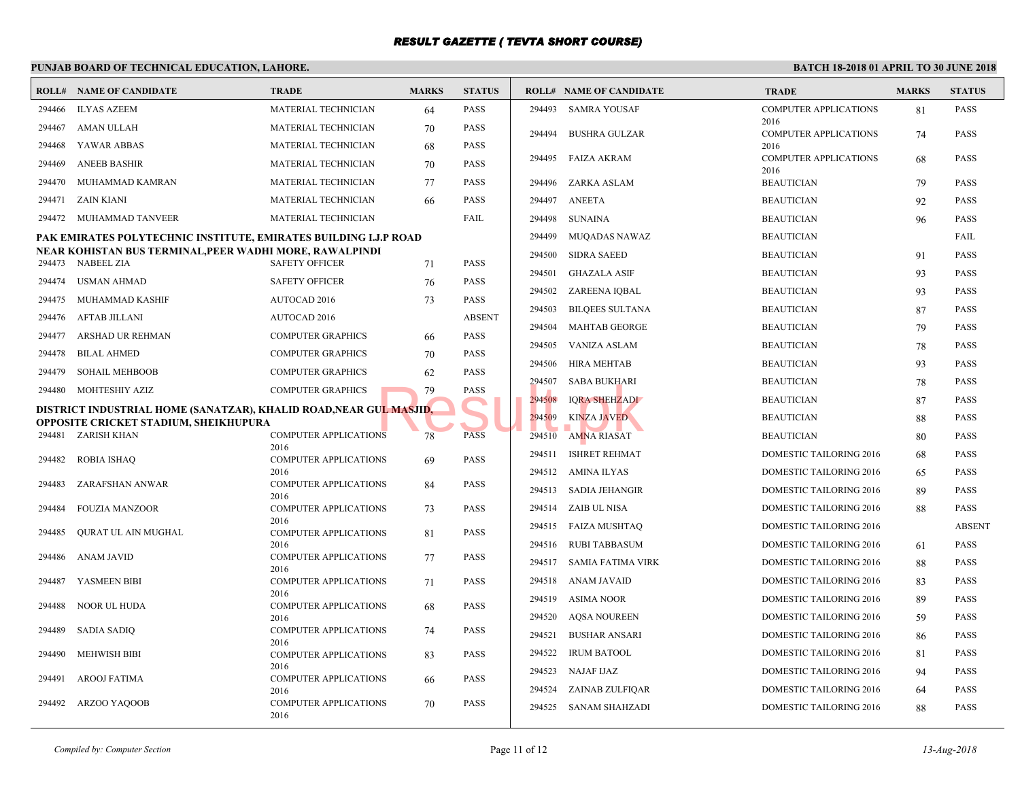|        | <b>ROLL# NAME OF CANDIDATE</b>                                                                             | <b>TRADE</b>                         | <b>MARKS</b> | <b>STATUS</b> |        | <b>ROLL# NAME OF CANDIDATE</b> | <b>TRAI</b>         |
|--------|------------------------------------------------------------------------------------------------------------|--------------------------------------|--------------|---------------|--------|--------------------------------|---------------------|
| 294466 | ILYAS AZEEM                                                                                                | MATERIAL TECHNICIAN                  | 64           | PASS          |        | 294493 SAMRA YOUSAF            | <b>COMP</b>         |
| 294467 | AMAN ULLAH                                                                                                 | MATERIAL TECHNICIAN                  | 70           | PASS          | 294494 | <b>BUSHRA GULZAR</b>           | 2016<br><b>COMP</b> |
| 294468 | YAWAR ABBAS                                                                                                | MATERIAL TECHNICIAN                  | 68           | PASS          |        |                                | 2016                |
| 294469 | <b>ANEEB BASHIR</b>                                                                                        | <b>MATERIAL TECHNICIAN</b>           | 70           | <b>PASS</b>   | 294495 | <b>FAIZA AKRAM</b>             | <b>COMP</b>         |
| 294470 | MUHAMMAD KAMRAN                                                                                            | <b>MATERIAL TECHNICIAN</b>           | 77           | <b>PASS</b>   | 294496 | ZARKA ASLAM                    | 2016<br><b>BEAU</b> |
| 294471 | ZAIN KIANI                                                                                                 | MATERIAL TECHNICIAN                  | 66           | PASS          | 294497 | <b>ANEETA</b>                  | <b>BEAU</b>         |
| 294472 | MUHAMMAD TANVEER                                                                                           | MATERIAL TECHNICIAN                  |              | FAIL          | 294498 | SUNAINA                        | <b>BEAU</b>         |
|        | PAK EMIRATES POLYTECHNIC INSTITUTE, EMIRATES BUILDING I.J.P ROAD                                           |                                      |              |               | 294499 | MUQADAS NAWAZ                  | <b>BEAU</b>         |
|        | NEAR KOHISTAN BUS TERMINAL,PEER WADHI MORE, RAWALPINDI                                                     |                                      |              |               | 294500 | <b>SIDRA SAEED</b>             | <b>BEAU</b>         |
|        | 294473 NABEEL ZIA                                                                                          | <b>SAFETY OFFICER</b>                | 71           | PASS          | 294501 | <b>GHAZALA ASIF</b>            | <b>BEAU</b>         |
| 294474 | USMAN AHMAD                                                                                                | <b>SAFETY OFFICER</b>                | 76           | PASS          | 294502 | ZAREENA IQBAL                  | <b>BEAU</b>         |
| 294475 | MUHAMMAD KASHIF                                                                                            | AUTOCAD 2016                         | 73           | PASS          | 294503 | <b>BILQEES SULTANA</b>         | <b>BEAU</b>         |
| 294476 | AFTAB JILLANI                                                                                              | AUTOCAD 2016                         |              | <b>ABSENT</b> | 294504 | MAHTAB GEORGE                  | <b>BEAU</b>         |
| 294477 | ARSHAD UR REHMAN                                                                                           | <b>COMPUTER GRAPHICS</b>             | 66           | PASS          | 294505 | VANIZA ASLAM                   | <b>BEAU</b>         |
| 294478 | <b>BILAL AHMED</b>                                                                                         | <b>COMPUTER GRAPHICS</b>             | 70           | PASS          | 294506 | HIRA MEHTAB                    | <b>BEAU</b>         |
| 294479 | <b>SOHAIL MEHBOOB</b>                                                                                      | <b>COMPUTER GRAPHICS</b>             | 62           | PASS          | 294507 | SABA BUKHARI                   | <b>BEAU</b>         |
| 294480 | MOHTESHIY AZIZ                                                                                             | <b>COMPUTER GRAPHICS</b>             | 79           | PASS          | 294508 | <b>IORA SHEHZADI</b>           | <b>BEAU</b>         |
|        | DISTRICT INDUSTRIAL HOME (SANATZAR), KHALID ROAD,NEAR GUL MASJID,<br>OPPOSITE CRICKET STADIUM, SHEIKHUPURA |                                      |              |               | 294509 | <b>KINZA JAVED</b>             | <b>BEAU</b>         |
|        | 294481 ZARISH KHAN                                                                                         | <b>COMPUTER APPLICATIONS</b>         | 78           | <b>PASS</b>   | 294510 | AMNA RIASAT                    | <b>BEAU</b>         |
|        |                                                                                                            | 2016                                 |              |               | 294511 | <b>ISHRET REHMAT</b>           | <b>DOME</b>         |
| 294482 | <b>ROBIA ISHAQ</b>                                                                                         | <b>COMPUTER APPLICATIONS</b><br>2016 | 69           | PASS          |        | 294512 AMINA ILYAS             | <b>DOME</b>         |
| 294483 | ZARAFSHAN ANWAR                                                                                            | <b>COMPUTER APPLICATIONS</b><br>2016 | 84           | PASS          |        | 294513 SADIA JEHANGIR          | <b>DOME</b>         |
| 294484 | <b>FOUZIA MANZOOR</b>                                                                                      | <b>COMPUTER APPLICATIONS</b>         | 73           | PASS          |        | 294514 ZAIB UL NISA            | <b>DOME</b>         |
| 294485 | QURAT UL AIN MUGHAL                                                                                        | 2016<br><b>COMPUTER APPLICATIONS</b> | 81           | <b>PASS</b>   |        | 294515 FAIZA MUSHTAQ           | <b>DOME</b>         |
|        |                                                                                                            | 2016                                 |              |               | 294516 | RUBI TABBASUM                  | <b>DOME</b>         |
| 294486 | ANAM JAVID                                                                                                 | <b>COMPUTER APPLICATIONS</b><br>2016 | 77           | <b>PASS</b>   |        | 294517 SAMIA FATIMA VIRK       | <b>DOME</b>         |
| 294487 | YASMEEN BIBI                                                                                               | <b>COMPUTER APPLICATIONS</b>         | 71           | <b>PASS</b>   |        | 294518 ANAM JAVAID             | <b>DOME</b>         |
| 294488 | NOOR UL HUDA                                                                                               | 2016<br><b>COMPUTER APPLICATIONS</b> | 68           | PASS          | 294519 | ASIMA NOOR                     | <b>DOME</b>         |
|        |                                                                                                            | 2016                                 |              |               | 294520 | <b>AOSA NOUREEN</b>            | <b>DOME</b>         |
| 294489 | SADIA SADIQ                                                                                                | <b>COMPUTER APPLICATIONS</b><br>2016 | 74           | PASS          | 294521 | <b>BUSHAR ANSARI</b>           | <b>DOME</b>         |
| 294490 | <b>MEHWISH BIBI</b>                                                                                        | COMPUTER APPLICATIONS                | 83           | PASS          | 294522 | <b>IRUM BATOOL</b>             | <b>DOME</b>         |
| 294491 | AROOJ FATIMA                                                                                               | 2016<br><b>COMPUTER APPLICATIONS</b> | 66           | PASS          |        | 294523 NAJAF IJAZ              | <b>DOME</b>         |
|        |                                                                                                            | 2016                                 |              |               | 294524 | ZAINAB ZULFIQAR                | <b>DOME</b>         |
| 294492 | ARZOO YAQOOB                                                                                               | <b>COMPUTER APPLICATIONS</b><br>2016 | 70           | PASS          |        | 294525 SANAM SHAHZADI          | <b>DOME</b>         |
|        |                                                                                                            |                                      |              |               |        |                                |                     |